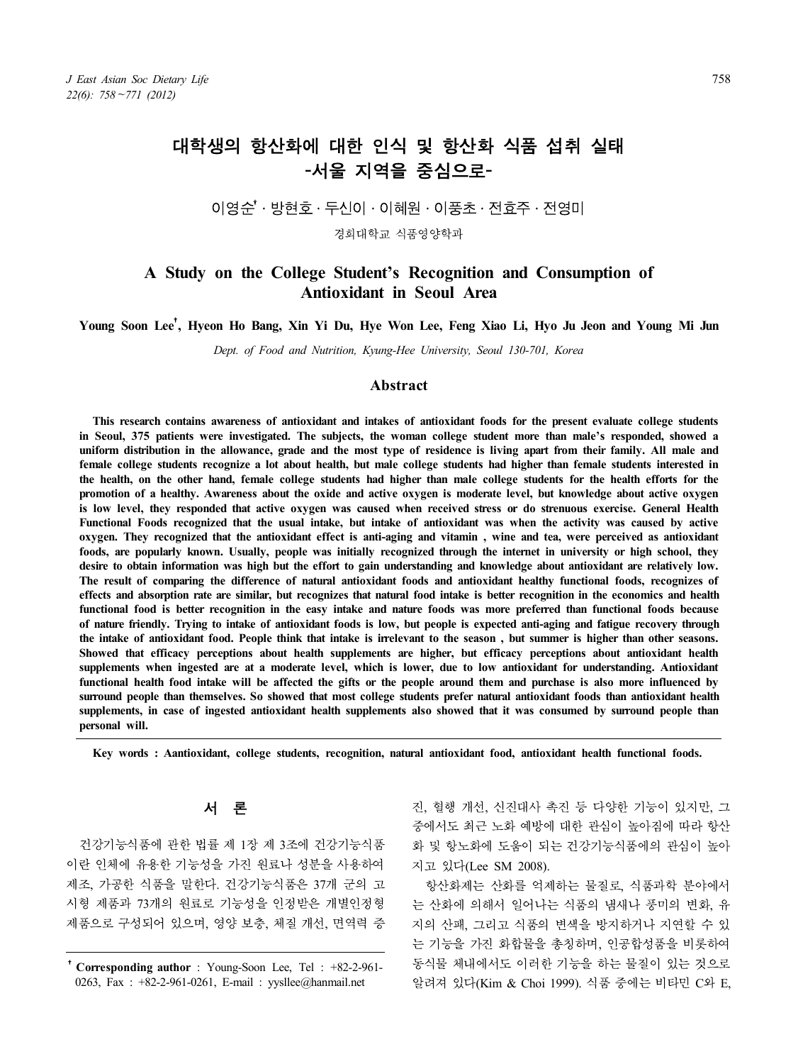# 대학생의 항산화에 대한 인식 및 항산화 식품 섭취 실태 -서울 지역을 중심으로-

## 이영수 $^{\dagger}$ ・방현호 · 두신이 · 이혜원 · 이풍초 · 전효주 · 전영미

경희대학교 식품영양학과

## **A Study on the College Student's Recognition and Consumption of Antioxidant in Seoul Area**

## **Young Soon Lee**†**, Hyeon Ho Bang, Xin Yi Du, Hye Won Lee, Feng Xiao Li, Hyo Ju Jeon and Young Mi Jun**

*Dept. of Food and Nutrition, Kyung-Hee University, Seoul 130-701, Korea*

#### **Abstract**

**This research contains awareness of antioxidant and intakes of antioxidant foods for the present evaluate college students**  in Seoul, 375 patients were investigated. The subjects, the woman college student more than male's responded, showed a<br>uniform distribution in the allowance, grade and the most type of residence is living apart from their **female college students recognize a lot about health, but male college students had higher than female students interested in the health, on the other hand, female college students had higher than male college students for the health efforts for the promotion of a healthy. Awareness about the oxide and active oxygen is moderate level, but knowledge about active oxygen**  is low level, they responded that active oxygen was caused when received stress or do strenuous exercise. General Health **Functional Foods recognized that the usual intake, but intake of antioxidant was when the activity was caused by active oxygen. They recognized that the antioxidant effect is anti-aging and vitamin , wine and tea, were perceived as antioxidant foods, are popularly known. Usually, people was initially recognized through the internet in university or high school, they desire to obtain information was high but the effort to gain understanding and knowledge about antioxidant are relatively low. The result of comparing the difference of natural antioxidant foods and antioxidant healthy functional foods, recognizes of effects and absorption rate are similar, but recognizes that natural food intake is better recognition in the economics and health functional food is better recognition in the easy intake and nature foods was more preferred than functional foods because of nature friendly. Trying to intake of antioxidant foods is low, but people is expected anti-aging and fatigue recovery through**  Showed that efficacy perceptions about health supplements are higher, but efficacy perceptions about antioxidant health **supplements when ingested are at a moderate level, which is lower, due to low antioxidant for understanding. Antioxidant functional health food intake will be affected the gifts or the people around them and purchase is also more influenced by surround people than themselves. So showed that most college students prefer natural antioxidant foods than antioxidant health supplements, in case of ingested antioxidant health supplements also showed that it was consumed by surround people than personal will.**

**Key words : Aantioxidant, college students, recognition, natural antioxidant food, antioxidant health functional foods.**

## 서 론

건강기능식품에 관한 법률 제 1장 제 3조에 건강기능식품 이란 인체에 유용한 기능성을 가진 원료나 성분을 사용하여 제조, 가공한 식품을 말한다. 건강기능식품은 37개 군의 고 시형 제품과 73개의 원료로 기능성을 인정받은 개별인정형 제품으로 구성되어 있으며, 영양 보충, 체질 개선, 면역력 증 진, 혈행 개선, 신진대사 촉진 등 다양한 기능이 있지만, 그 중에서도 최근 노화 예방에 대한 관심이 높아짐에 따라 항산 화 및 항노화에 도움이 되는 건강기능식품에의 관심이 높아 지고 있다(Lee SM 2008).

항산화제는 산화를 억제하는 물질로, 식품과학 분야에서 는 산화에 의해서 일어나는 식품의 냄새나 풍미의 변화, 유 지의 산패, 그리고 식품의 변색을 방지하거나 지연할 수 있 는 기능을 가진 화합물을 총칭하며, 인공합성품을 비롯하여 동식물 체내에서도 이러한 기능을 하는 물질이 있는 것으로 알려져 있다(Kim & Choi 1999). 식품 중에는 비타민 C와 E,

<sup>†</sup>**Corresponding author** : Young-Soon Lee, Tel : +82-2-961- 0263, Fax : +82-2-961-0261, E-mail : yysllee@hanmail.net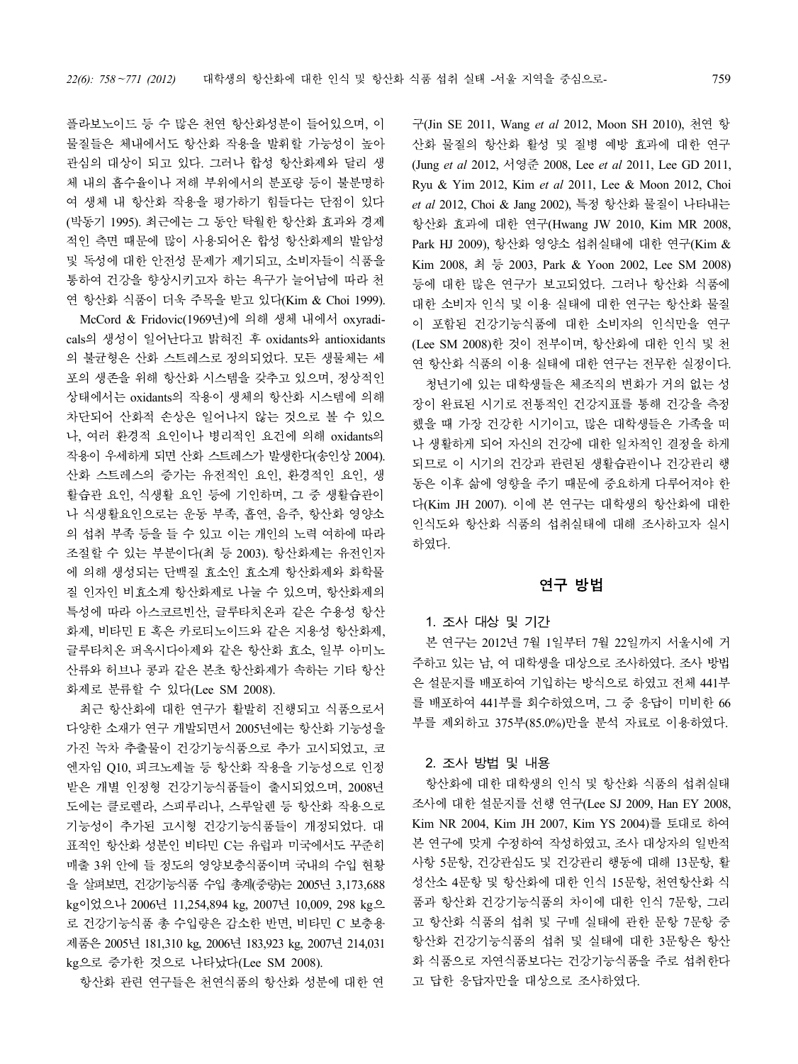플라보노이드 등 수 많은 천연 항산화성분이 들어있으며, 이 물질들은 체내에서도 항산화 작용을 발휘할 가능성이 높아 관심의 대상이 되고 있다. 그러나 합성 항산화제와 달리 생 체 내의 흡수율이나 저해 부위에서의 분포량 등이 불분명하 여 생체 내 항산화 작용을 평가하기 힘들다는 단점이 있다 (박동기 1995). 최근에는 그 동안 탁월한 항산화 효과와 경제 적인 측면 때문에 많이 사용되어온 합성 항산화제의 발암성 및 독성에 대한 안전성 문제가 제기되고, 소비자들이 식품을 통하여 건강을 향상시키고자 하는 욕구가 늘어남에 따라 천 연 항산화 식품이 더욱 주목을 받고 있다(Kim & Choi 1999). McCord & Fridovic(1969년)에 의해 생체 내에서 oxyradi cals의 생성이 일어난다고 밝혀진 후 oxidants와 antioxidants 의 불균형은 산화 스트레스로 정의되었다. 모든 생물체는 세 포의 생존을 위해 항산화 시스템을 갖추고 있으며, 정상적인 상태에서는 oxidants의 작용이 생체의 항산화 시스템에 의해 차단되어 산화적 손상은 일어나지 않는 것으로 볼 수 있으 나, 여러 환경적 요인이나 병리적인 요건에 의해 oxidants의 작용이 우세하게 되면 산화 스트레스가 발생한다(송인상 2004). 산화 스트레스의 증가는 유전적인 요인, 환경적인 요인, 생 활습관 요인, 식생활 요인 등에 기인하며, 그 중 생활습관이 나 식생활요인으로는 운동 부족, 흡연, 음주, 항산화 영양소 의 섭취 부족 등을 들 수 있고 이는 개인의 노력 여하에 따라 조절할 수 있는 부분이다(최 등 2003). 항산화제는 유전인자 에 의해 생성되는 단백질 효소인 효소계 항산화제와 화학물 질 인자인 비효소계 항산화제로 나눌 수 있으며, 항산화제의

특성에 따라 아스코르빈산, 글루타치온과 같은 수용성 항산 화제, 비타민 E 혹은 카로티노이드와 같은 지용성 항산화제, 글루타치온 퍼옥시다아제와 같은 항산화 효소, 일부 아미노 산류와 허브나 콩과 같은 본초 항산화제가 속하는 기타 항산 화제로 분류할 수 있다(Lee SM 2008).

최근 항산화에 대한 연구가 활발히 진행되고 식품으로서 다양한 소재가 연구 개발되면서 2005년에는 항산화 기능성을 가진 녹차 추출물이 건강기능식품으로 추가 고시되었고, 코 엔자임 Q10, 피크노제놀 등 항산화 작용을 기능성으로 인정 받은 개별 인정형 건강기능식품들이 출시되었으며, 2008년 도에는 클로렐라, 스피루리나, 스루알렌 등 항산화 작용으로 기능성이 추가된 고시형 건강기능식품들이 개정되었다. 대 표적인 항산화 성분인 비타민 C는 유럽과 미국에서도 꾸준히 매출 3위 안에 들 정도의 영양보충식품이며 국내의 수입 현황 을 살펴보면, 건강기능식품 수입 총계(중량)는 2005년 3,173,688 kg이었으나 2006년 11,254,894 kg, 2007년 10,009, 298 kg으 로 건강기능식품 총 수입량은 감소한 반면, 비타민 C 보충용 제품은 2005년 181,310 kg, 2006년 183,923 kg, 2007년 214,031 kg으로 증가한 것으로 나타났다(Lee SM 2008).

항산화 관련 연구들은 천연식품의 항산화 성분에 대한 연

구(Jin SE 2011, Wang *et al* 2012, Moon SH 2010), 천연 항 산화 물질의 항산화 활성 및 질병 예방 효과에 대한 연구 (Jung *et al* 2012, 서영준 2008, Lee *et al* 2011, Lee GD 2011, Ryu & Yim 2012, Kim *et al* 2011, Lee & Moon 2012, Choi *et al* 2012, Choi & Jang 2002), 특정 항산화 물질이 나타내는 항산화 효과에 대한 연구(Hwang JW 2010, Kim MR 2008, Park HJ 2009), 항산화 영양소 섭취실태에 대한 연구(Kim & Kim 2008, 최 등 2003, Park & Yoon 2002, Lee SM 2008) 등에 대한 많은 연구가 보고되었다. 그러나 항산화 식품에 대한 소비자 인식 및 이용 실태에 대한 연구는 항산화 물질 이 포함된 건강기능식품에 대한 소비자의 인식만을 연구 (Lee SM 2008)한 것이 전부이며, 항산화에 대한 인식 및 천 연 항산화 식품의 이용 실태에 대한 연구는 전무한 실정이다.

청년기에 있는 대학생들은 체조직의 변화가 거의 없는 성 장이 완료된 시기로 전통적인 건강지표를 통해 건강을 측정 했을 때 가장 건강한 시기이고, 많은 대학생들은 가족을 떠 나 생활하게 되어 자신의 건강에 대한 일차적인 결정을 하게 되므로 이 시기의 건강과 관련된 생활습관이나 건강관리 행 동은 이후 삶에 영향을 주기 때문에 중요하게 다루어져야 한 다(Kim JH 2007). 이에 본 연구는 대학생의 항산화에 대한 인식도와 항산화 식품의 섭취실태에 대해 조사하고자 실시 하였다.

## 연구 방법

## 1. 조사 대상 및 기간

본 연구는 2012년 7월 1일부터 7월 22일까지 서울시에 거 주하고 있는 남, 여 대학생을 대상으로 조사하였다. 조사 방법 은 설문지를 배포하여 기입하는 방식으로 하였고 전체 441부 를 배포하여 441부를 회수하였으며, 그 중 응답이 미비한 66 부를 제외하고 375부(85.0%)만을 분석 자료로 이용하였다.

## 2. 조사 방법 및 내용

항산화에 대한 대학생의 인식 및 항산화 식품의 섭취실태 조사에 대한 설문지를 선행 연구(Lee SJ 2009, Han EY 2008, Kim NR 2004, Kim JH 2007, Kim YS 2004)를 토대로 하여 본 연구에 맞게 수정하여 작성하였고, 조사 대상자의 일반적 사항 5문항, 건강관심도 및 건강관리 행동에 대해 13문항, 활 성산소 4문항 및 항산화에 대한 인식 15문항, 천연항산화 식 품과 항산화 건강기능식품의 차이에 대한 인식 7문항, 그리 고 항산화 식품의 섭취 및 구매 실태에 관한 문항 7문항 중 항산화 건강기능식품의 섭취 및 실태에 대한 3문항은 항산 화 식품으로 자연식품보다는 건강기능식품을 주로 섭취한다 고 답한 응답자만을 대상으로 조사하였다.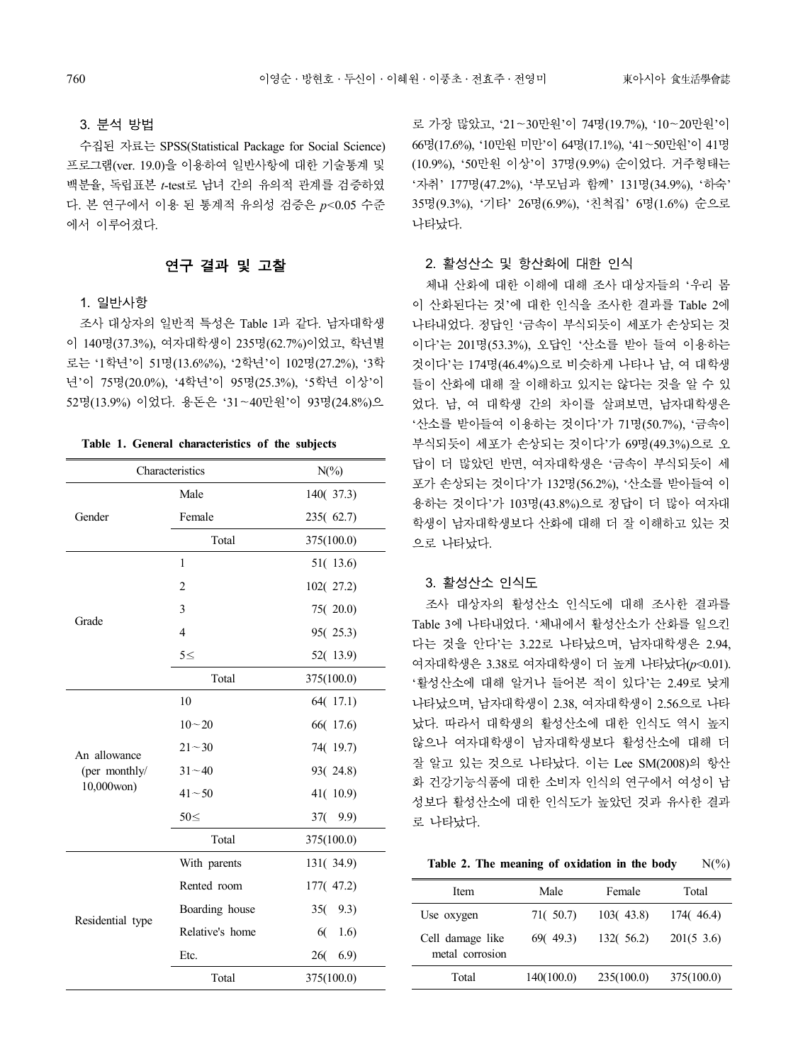### 3. 분석 방법

수집된 자료는 SPSS(Statistical Package for Social Science) 프로그램(ver. 19.0)을 이용하여 일반사항에 대한 기술통계 및 백분율, 독립표본 *t*-test로 남녀 간의 유의적 관계를 검증하였 다. 본 연구에서 이용 된 통계적 유의성 검증은 *p<*0.05 수준 에서 이루어졌다.

## 연구 결과 및 고찰

### 1. 일반사항

조사 대상자의 일반적 특성은 Table 1과 같다. 남자대학생 이 140명(37.3%), 여자대학생이 235명(62.7%)이었고, 학년별 로는 '1학년'이 51명(13.6%%), '2학년'이 102명(27.2%), '3학 년'이 75명(20.0%), '4학년'이 95명(25.3%), '5학년 이상'이 52명(13.9%) 이었다. 용돈은 '31~40만원'이 93명(24.8%)으

| Table 1. General characteristics of the subjects |  |
|--------------------------------------------------|--|
|--------------------------------------------------|--|

|                  | Characteristics | $N(\%)$     |
|------------------|-----------------|-------------|
|                  | Male            | 140(37.3)   |
| Gender           | Female          | 235(62.7)   |
|                  | Total           | 375(100.0)  |
|                  | 1               | 51(13.6)    |
|                  | $\overline{2}$  | 102(27.2)   |
| Grade            | 3               | 75(20.0)    |
|                  | $\overline{4}$  | 95(25.3)    |
|                  | $5 \leq$        | 52(13.9)    |
|                  | Total           | 375(100.0)  |
|                  | 10              | 64(17.1)    |
|                  | $10 - 20$       | 66(17.6)    |
| An allowance     | $21 - 30$       | 74(19.7)    |
| (per monthly/    | $31 - 40$       | 93(24.8)    |
| 10,000won)       | $41 - 50$       | 41(10.9)    |
|                  | $50 \leq$       | 37(<br>9.9) |
|                  | Total           | 375(100.0)  |
|                  | With parents    | 131(34.9)   |
|                  | Rented room     | 177(47.2)   |
| Residential type | Boarding house  | 35(9.3)     |
|                  | Relative's home | 60<br>1.6)  |
|                  | Etc.            | 26(<br>6.9  |
|                  | Total           | 375(100.0)  |

로 가장 많았고, '21~30만원'이 74명(19.7%), '10~20만원'이 66명(17.6%), '10만원 미만'이 64명(17.1%), '41~50만원'이 41명 (10.9%), '50만원 이상'이 37명(9.9%) 순이었다. 거주형태는 '자취' 177명(47.2%), '부모님과 함께' 131명(34.9%), '하숙' 35명(9.3%), '기타' 26명(6.9%), '친척집' 6명(1.6%) 순으로 나타났다.

#### 2. 활성산소 및 항산화에 대한 인식

체내 산화에 대한 이해에 대해 조사 대상자들의 '우리 몸 이 산화된다는 것'에 대한 인식을 조사한 결과를 Table 2에 나타내었다. 정답인 '금속이 부식되듯이 세포가 손상되는 것 이다'는 201명(53.3%), 오답인 '산소를 받아 들여 이용하는 것이다'는 174명(46.4%)으로 비슷하게 나타나 남, 여 대학생 들이 산화에 대해 잘 이해하고 있지는 않다는 것을 알 수 있 었다. 남, 여 대학생 간의 차이를 살펴보면, 남자대학생은 '산소를 받아들여 이용하는 것이다'가 71명(50.7%), '금속이 부식되듯이 세포가 손상되는 것이다'가 69명(49.3%)으로 오 답이 더 많았던 반면, 여자대학생은 '금속이 부식되듯이 세 포가 손상되는 것이다'가 132명(56.2%), '산소를 받아들여 이 용하는 것이다'가 103명(43.8%)으로 정답이 더 많아 여자대 학생이 남자대학생보다 산화에 대해 더 잘 이해하고 있는 것 으로 나타났다.

### 3. 활성산소 인식도

조사 대상자의 활성산소 인식도에 대해 조사한 결과를 Table 3에 나타내었다. '체내에서 활성산소가 산화를 일으킨 다는 것을 안다'는 3.22로 나타났으며, 남자대학생은 2.94, 여자대학생은 3.38로 여자대학생이 더 높게 나타났다(*p*<0.01). '활성산소에 대해 알거나 들어본 적이 있다'는 2.49로 낮게 나타났으며, 남자대학생이 2.38, 여자대학생이 2.56으로 나타 났다. 따라서 대학생의 활성산소에 대한 인식도 역시 높지 않으나 여자대학생이 남자대학생보다 활성산소에 대해 더 잘 알고 있는 것으로 나타났다. 이는 Lee SM(2008)의 항산 화 건강기능식품에 대한 소비자 인식의 연구에서 여성이 남 성보다 활성산소에 대한 인식도가 높았던 것과 유사한 결과 로 나타났다.

**Table 2. The meaning of oxidation in the body**  $N(\%)$ 

| Item                                | Male       | Female     | Total          |
|-------------------------------------|------------|------------|----------------|
| Use oxygen                          | 71(50.7)   | 103(43.8)  | 174(46.4)      |
| Cell damage like<br>metal corrosion | 69(49.3)   | 132( 56.2) | $201(5 \t3.6)$ |
| Total                               | 140(100.0) | 235(100.0) | 375(100.0)     |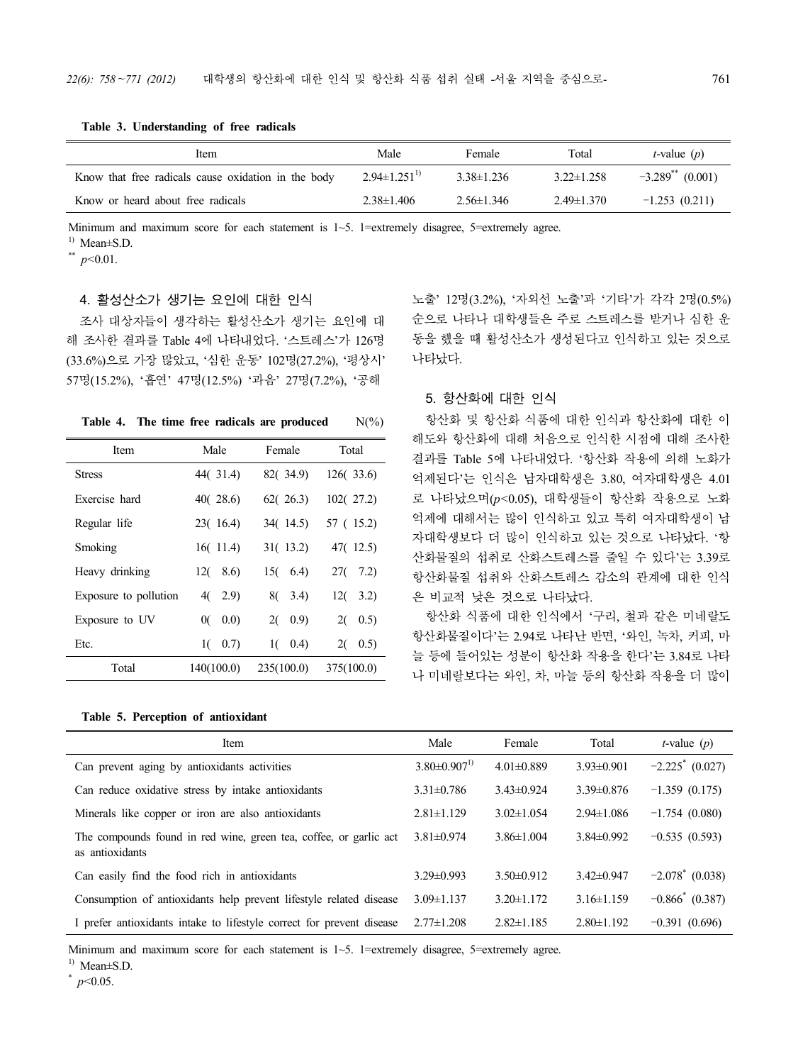**Table 3. Understanding of free radicals**

| Item                                                | Male               | Female           | Total            | <i>t</i> -value $(p)$          |
|-----------------------------------------------------|--------------------|------------------|------------------|--------------------------------|
| Know that free radicals cause oxidation in the body | $2.94\pm1.251^{1}$ | $3.38\pm1.236$   | $3.22 \pm 1.258$ | $-3.289$ <sup>**</sup> (0.001) |
| Know or heard about free radicals                   | $2.38 \pm 1.406$   | $2.56 \pm 1.346$ | $2.49 \pm 1.370$ | $-1.253(0.211)$                |

Minimum and maximum score for each statement is  $1-5$ . 1=extremely disagree, 5=extremely agree.

 $^{1)}$  Mean $\pm$ S.D.

\*\* *p<*0.01.

## 4. 활성산소가 생기는 요인에 대한 인식

조사 대상자들이 생각하는 활성산소가 생기는 요인에 대 해 조사한 결과를 Table 4에 나타내었다. '스트레스'가 126명 (33.6%)으로 가장 많았고, '심한 운동' 102명(27.2%), '평상시' 57명(15.2%), '흡연' 47명(12.5%) '과음' 27명(7.2%), '공해

**Table 4.** The time free radicals are produced  $N(\%)$ 

| Item                  | Male       | Female      | Total       |
|-----------------------|------------|-------------|-------------|
| <b>Stress</b>         | 44(31.4)   | 82(34.9)    | 126(33.6)   |
| Exercise hard         | 40(28.6)   | 62(26.3)    | 102(27.2)   |
| Regular life          | 23(16.4)   | 34(14.5)    | 57 (15.2)   |
| Smoking               | 16(11.4)   | 31(13.2)    | 47(12.5)    |
| Heavy drinking        | 8.6<br>12( | 15(6.4)     | 27(<br>7.2) |
| Exposure to pollution | 4(2.9)     | 80<br>3.4)  | 12(<br>3.2) |
| Exposure to UV        | 0.0)<br>0( | 2(<br>(0.9) | 2(<br>0.5)  |
| Etc.                  | $1(-0.7)$  | $1(-0.4)$   | 2(<br>0.5)  |
| Total                 | 140(100.0) | 235(100.0)  | 375(100.0)  |

|  |  |  |  | Table 5. Perception of antioxidant |  |
|--|--|--|--|------------------------------------|--|
|--|--|--|--|------------------------------------|--|

노출' 12명(3.2%), '자외선 노출'과 '기타'가 각각 2명(0.5%) 순으로 나타나 대학생들은 주로 스트레스를 받거나 심한 운 동을 했을 때 활성산소가 생성된다고 인식하고 있는 것으로 나타났다.

### 5. 항산화에 대한 인식

항산화 및 항산화 식품에 대한 인식과 항산화에 대한 이 해도와 항산화에 대해 처음으로 인식한 시점에 대해 조사한 결과를 Table 5에 나타내었다. '항산화 작용에 의해 노화가 억제된다'는 인식은 남자대학생은 3.80, 여자대학생은 4.01 로 나타났으며(*p<*0.05), 대학생들이 항산화 작용으로 노화 억제에 대해서는 많이 인식하고 있고 특히 여자대학생이 남 자대학생보다 더 많이 인식하고 있는 것으로 나타났다. '항 산화물질의 섭취로 산화스트레스를 줄일 수 있다'는 3.39로 항산화물질 섭취와 산화스트레스 감소의 관계에 대한 인식 은 비교적 낮은 것으로 나타났다.

항산화 식품에 대한 인식에서 '구리, 철과 같은 미네랄도 항산화물질이다'는 2.94로 나타난 반면, '와인, 녹차, 커피, 마 늘 등에 들어있는 성분이 항산화 작용을 한다'는 3.84로 나타 나 미네랄보다는 와인, 차, 마늘 등의 항산화 작용을 더 많이

| Item                                                                                 | Male               | Female           | Total            | <i>t</i> -value $(p)$         |
|--------------------------------------------------------------------------------------|--------------------|------------------|------------------|-------------------------------|
| Can prevent aging by antioxidants activities                                         | $3.80\pm0.907^{1}$ | $4.01\pm0.889$   | $3.93\pm0.901$   | $-2.225$ <sup>*</sup> (0.027) |
| Can reduce oxidative stress by intake antioxidants                                   | $3.31 \pm 0.786$   | $3.43\pm 0.924$  | $3.39\pm0.876$   | $-1.359(0.175)$               |
| Minerals like copper or iron are also antioxidants                                   | $2.81 \pm 1.129$   | $3.02 \pm 1.054$ | $2.94 \pm 1.086$ | $-1.754(0.080)$               |
| The compounds found in red wine, green tea, coffee, or garlic act<br>as antioxidants | $3.81 \pm 0.974$   | $3.86 \pm 1.004$ | $3.84\pm 0.992$  | $-0.535(0.593)$               |
| Can easily find the food rich in antioxidants                                        | $3.29 \pm 0.993$   | $3.50\pm0.912$   | $3.42\pm 0.947$  | $-2.078^*$ (0.038)            |
| Consumption of antioxidants help prevent lifestyle related disease                   | $3.09 \pm 1.137$   | $3.20 \pm 1.172$ | $3.16\pm1.159$   | $-0.866^*$ (0.387)            |
| I prefer antioxidants intake to lifestyle correct for prevent disease                | $2.77\pm1.208$     | $2.82 \pm 1.185$ | $2.80 \pm 1.192$ | $-0.391(0.696)$               |

Minimum and maximum score for each statement is  $1-5$ . 1=extremely disagree, 5=extremely agree.

 $^{1)}$  Mean $\pm$ S.D.

 $*$  *p*<0.05.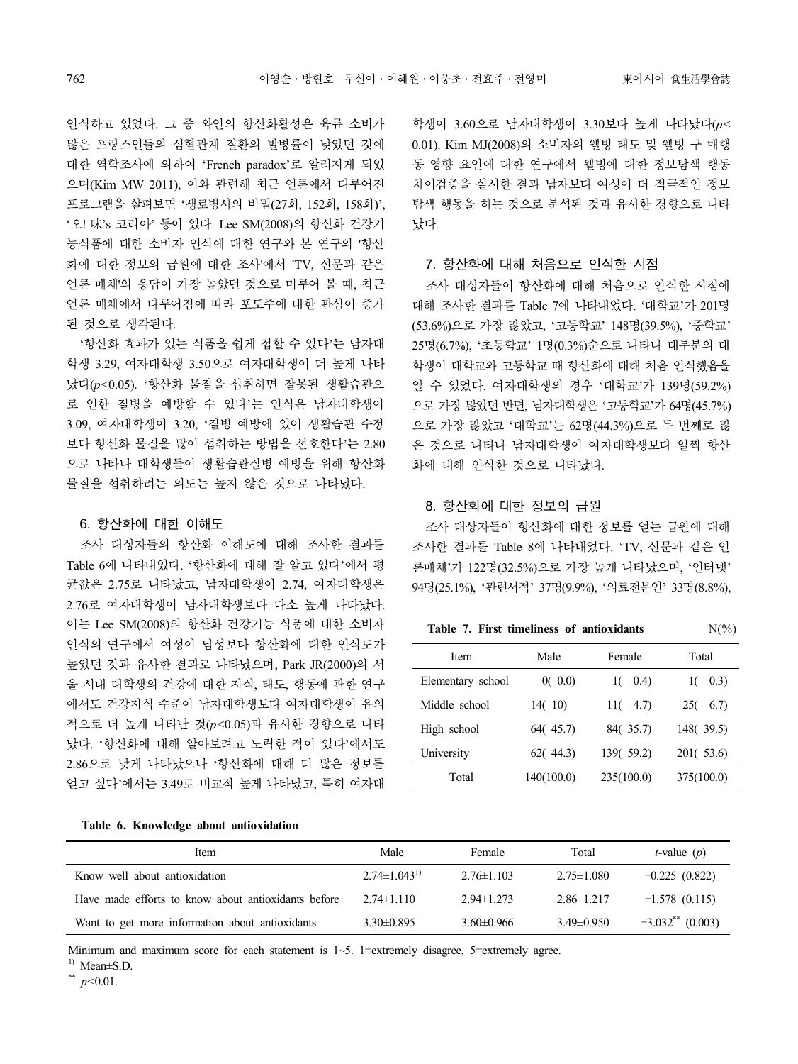인식하고 있었다. 그 중 와인의 항산화활성은 육류 소비가 많은 프랑스인들의 심혈관계 질환의 발병률이 낮았던 것에 대한 역학조사에 의하여 'French paradox'로 알려지게 되었 으며(Kim MW 2011), 이와 관련해 최근 언론에서 다루어진 프로그램을 살펴보면 '생로병사의 비밀(27회, 152회, 158회)', '오! 味's 코리아' 등이 있다. Lee SM(2008)의 항산화 건강기 능식품에 대한 소비자 인식에 대한 연구와 본 연구의 '항산 화에 대한 정보의 급원에 대한 조사'에서 'TV, 신문과 같은 언론 매체'의 응답이 가장 높았던 것으로 미루어 볼 때, 최근 언론 매체에서 다루어짐에 따라 포도주에 대한 관심이 증가 된 것으로 생각된다.

'항산화 효과가 있는 식품을 쉽게 접할 수 있다'는 남자대 학생 3.29, 여자대학생 3.50으로 여자대학생이 더 높게 나타 났다(*p<*0.05). '항산화 물질을 섭취하면 잘못된 생활습관으 로 인한 질병을 예방할 수 있다'는 인식은 남자대학생이 3.09, 여자대학생이 3.20, '질병 예방에 있어 생활습관 수정 보다 항산화 물질을 많이 섭취하는 방법을 선호한다'는 2.80 으로 나타나 대학생들이 생활습관질병 예방을 위해 항산화 물질을 섭취하려는 의도는 높지 않은 것으로 나타났다.

### 6. 항산화에 대한 이해도

조사 대상자들의 항산화 이해도에 대해 조사한 결과를 Table 6에 나타내었다. '항산화에 대해 잘 알고 있다'에서 평 균값은 2.75로 나타났고, 남자대학생이 2.74, 여자대학생은 2.76로 여자대학생이 남자대학생보다 다소 높게 나타났다. 이는 Lee SM(2008)의 항산화 건강기능 식품에 대한 소비자 인식의 연구에서 여성이 남성보다 항산화에 대한 인식도가 높았던 것과 유사한 결과로 나타났으며, Park JR(2000)의 서 울 시내 대학생의 건강에 대한 지식, 태도, 행동에 관한 연구 에서도 건강지식 수준이 남자대학생보다 여자대학생이 유의 적으로 더 높게 나타난 것(*p<*0.05)과 유사한 경향으로 나타 났다. '항산화에 대해 알아보려고 노력한 적이 있다'에서도 2.86으로 낮게 나타났으나 '항산화에 대해 더 많은 정보를 얻고 싶다'에서는 3.49로 비교적 높게 나타났고, 특히 여자대

학생이 3.60으로 남자대학생이 3.30보다 높게 나타났다(*p<*  0.01). Kim MJ(2008)의 소비자의 웰빙 태도 및 웰빙 구 매행 동 영향 요인에 대한 연구에서 웰빙에 대한 정보탐색 행동 차이검증을 실시한 결과 남자보다 여성이 더 적극적인 정보 탐색 행동을 하는 것으로 분석된 것과 유사한 경향으로 나타 났다.

#### 7. 항산화에 대해 처음으로 인식한 시점

조사 대상자들이 항산화에 대해 처음으로 인식한 시점에 대해 조사한 결과를 Table 7에 나타내었다. '대학교'가 201명 (53.6%)으로 가장 많았고, '고등학교' 148명(39.5%), '중학교' 25명(6.7%), '초등학교' 1명(0.3%)순으로 나타나 대부분의 대 학생이 대학교와 고등학교 때 항산화에 대해 처음 인식했음을 알 수 있었다. 여자대학생의 경우 '대학교'가 139명(59.2%) 으로 가장 많았던 반면, 남자대학생은 '고등학교'가 64명(45.7%) 으로 가장 많았고 '대학교'는 62명(44.3%)으로 두 번째로 많 은 것으로 나타나 남자대학생이 여자대학생보다 일찍 항산 화에 대해 인식한 것으로 나타났다.

## 8. 항산화에 대한 정보의 급원

조사 대상자들이 항산화에 대한 정보를 얻는 급원에 대해 조사한 결과를 Table 8에 나타내었다. 'TV, 신문과 같은 언 론매체'가 122명(32.5%)으로 가장 높게 나타났으며, '인터넷' 94명(25.1%), '관련서적' 37명(9.9%), '의료전문인' 33명(8.8%),

**Table 7. First timeliness of antioxidants** N(%)

| Table 7. First unifermess of antioxidants | $1$ N( /0) |             |             |
|-------------------------------------------|------------|-------------|-------------|
| Item                                      | Male       | Female      | Total       |
| Elementary school                         | 0(0.0)     | (0.4)<br>10 | 0.3)        |
| Middle school                             | 14(10)     | 11(<br>4.7) | 6.7)<br>250 |
| High school                               | 64(45.7)   | 84(35.7)    | 148(39.5)   |
| University                                | 62(44.3)   | 139( 59.2)  | 201( 53.6)  |
| Total                                     | 140(100.0) | 235(100.0)  | 375(100.0)  |

#### **Table 6. Knowledge about antioxidation**

| Item                                                | Male               | Female           | Total            | <i>t</i> -value $(p)$          |
|-----------------------------------------------------|--------------------|------------------|------------------|--------------------------------|
| Know well about antioxidation                       | $2.74\pm1.043^{1}$ | $2.76 \pm 1.103$ | $2.75 \pm 1.080$ | $-0.225(0.822)$                |
| Have made efforts to know about antioxidants before | $2.74 \pm 1.110$   | $2.94 \pm 1.273$ | $2.86 \pm 1.217$ | $-1.578(0.115)$                |
| Want to get more information about antioxidants     | $3.30\pm0.895$     | $3.60\pm0.966$   | $3.49\pm0.950$   | $-3.032$ <sup>**</sup> (0.003) |

Minimum and maximum score for each statement is  $1-5$ . 1=extremely disagree, 5=extremely agree.

 $^{1)}$  Mean $\pm$ S.D.

\*\* *p<*0.01.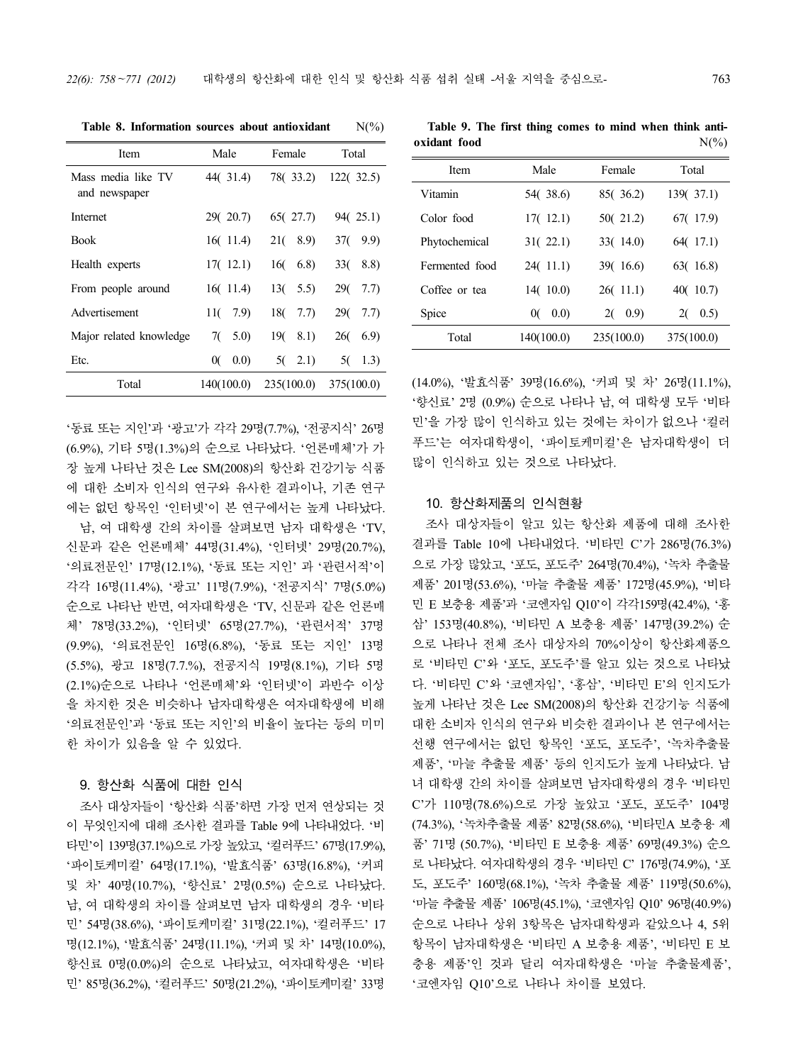| Item                                | Male        | Female       | Total                   |
|-------------------------------------|-------------|--------------|-------------------------|
| Mass media like TV<br>and newspaper | 44(31.4)    | 78(33.2)     | 122(32.5)               |
| Internet                            | 29(20.7)    | 65(27.7)     | 94(25.1)                |
| <b>Book</b>                         | 16(11.4)    | 21(8.9)      | 9.9)<br>37(             |
| Health experts                      | 17(12.1)    | 160<br>(6.8) | 8.8)<br>33 <sub>(</sub> |
| From people around                  | 16(11.4)    | 13(5.5)      | 290<br>7.7)             |
| Advertisement                       | 11(7.9)     | 18(<br>7.7)  | 290<br>7.7)             |
| Major related knowledge             | 7(<br>5.0)  | 8.1)<br>19(  | 260<br>6.9              |
| Etc.                                | (0.0)<br>0( | 5(2.1)       | 5(<br>1.3)              |
| Total                               | 140(100.0)  | 235(100.0)   | 375(100.0)              |
|                                     |             |              |                         |

**Table 8. Information sources about antioxidant** N(%)

'동료 또는 지인'과 '광고'가 각각 29명(7.7%), '전공지식' 26명 (6.9%), 기타 5명(1.3%)의 순으로 나타났다. '언론매체'가 가 장 높게 나타난 것은 Lee SM(2008)의 항산화 건강기능 식품 에 대한 소비자 인식의 연구와 유사한 결과이나, 기존 연구 에는 없던 항목인 '인터넷'이 본 연구에서는 높게 나타났다.

남, 여 대학생 간의 차이를 살펴보면 남자 대학생은 'TV, 신문과 같은 언론매체' 44명(31.4%), '인터넷' 29명(20.7%),<br>'의료전문인' 17명(12.1%), '동료 또는 지인' 과 '관련서적'이 각각 16명(11.4%), '광고' 11명(7.9%), '전공지식' 7명(5.0%) 순으로 나타난 반면, 여자대학생은 'TV, 신문과 같은 언론매 체' 78명(33.2%), '인터넷' 65명(27.7%), '관련서적' 37명 (9.9%), '의료전문인 16명(6.8%), '동료 또는 지인' 13명 (5.5%), 광고 18명(7.7.%), 전공지식 19명(8.1%), 기타 5명 (2.1%)순으로 나타나 '언론매체'와 '인터넷'이 과반수 이상 을 차지한 것은 비슷하나 남자대학생은 여자대학생에 비해 '의료전문인'과 '동료 또는 지인'의 비율이 높다는 등의 미미 한 차이가 있음을 알 수 있었다.

## 9. 항산화 식품에 대한 인식

조사 대상자들이 '항산화 식품'하면 가장 먼저 연상되는 것 이 무엇인지에 대해 조사한 결과를 Table 9에 나타내었다. '비 타민'<sup>이</sup> <sup>139</sup>명(37.1%)으로 가장 높았고, '컬러푸드' 67<sup>명</sup>(17.9%), '파이토케미컬' 64명(17.1%), '발효식품' 63명(16.8%), '커피 남, 여 대학생의 차이를 살펴보면 남자 대학생의 경우 '비타 민' 54명(38.6%), '파이토케미컬' 31명(22.1%), '컬러푸드' 17 명(12.1%), '발효식품' 24명(11.1%), '커피 및 차' 14명(10.0%), 향신료 0명(0.0%)의 순으로 나타났고, 여자대학생은 '비타 민' 85명(36.2%), '컬러푸드' 50명(21.2%), '파이토케미컬' 33명

**Table 9. The first thing comes to mind when think anti oxidant food** N(%)

| Item           | Male       | Female     | Total      |
|----------------|------------|------------|------------|
| Vitamin        | 54(38.6)   | 85(36.2)   | 139(37.1)  |
| Color food     | 17(12.1)   | 50(21.2)   | 67(17.9)   |
| Phytochemical  | 31(22.1)   | 33(14.0)   | 64(17.1)   |
| Fermented food | 24(11.1)   | 39(16.6)   | 63(16.8)   |
| Coffee or tea  | 14(10.0)   | 26(11.1)   | 40(10.7)   |
| Spice          | 0(0.0)     | 2(0.9)     | 2(0.5)     |
| Total          | 140(100.0) | 235(100.0) | 375(100.0) |
|                |            |            |            |

(14.0%), '발효식품' 39명(16.6%), '커피 <sup>및</sup> <sup>차</sup>' 26<sup>명</sup>(11.1%), '향신료' 2<sup>명</sup> (0.9%) 순으로 나타나 <sup>남</sup>, <sup>여</sup> 대학생 모두 '비타 민'을 가장 많이 인식하고 있는 것에는 차이가 없으나 '컬러 푸드'는 여자대학생이, '파이토케미컬'은 남자대학생이 더 많이 인식하고 있는 것으로 나타났다.

#### 10. 항산화제품의 인식현황

및 차' 40명(10.7%), '향신료' 2명(0.5%) 순으로 나타났다. 조사 대상자들이 알고 있는 항산화 제품에 대해 조사한 결과를 Table 10에 나타내었다. '비타민 C'가 286명(76.3%) 으로 가장 많았고, '포도, 포도주' 264명(70.4%), '녹차 추출물 제품' 201명(53.6%), '마늘 추출물 제품' 172명(45.9%), '비타 민 E 보충용 제품'과 '코엔자임 Q10'이 각각159명(42.4%), '홍 삼' 153명(40.8%), '비타민 A 보충용 제품' 147명(39.2%) 순 으로 나타나 전체 조사 대상자의 70%이상이 항산화제품으 로 '비타민 C'와 '포도, 포도주'를 알고 있는 것으로 나타났 다. '비타민 C'와 '코엔자임', '홍삼', '비타민 E'의 인지도가 높게 나타난 것은 Lee SM(2008)의 항산화 건강기능 식품에 대한 소비자 인식의 연구와 비슷한 결과이나 본 연구에서는 선행 연구에서는 없던 항목인 '포도, 포도주', '녹차추출물 제품', '마늘 추출물 제품' 등의 인지도가 높게 나타났다. 남 녀 대학생 간의 차이를 살펴보면 남자대학생의 경우 '비타민 C'가 110명(78.6%)으로 가장 높았고 '포도, 포도주' 104명 (74.3%), '녹차추출물 제품' 82명(58.6%), '비타민A 보충용 제 품' 71명 (50.7%), '비타민 E 보충용 제품' 69명(49.3%) 순으 로 나타났다. 여자대학생의 경우 '비타민 C' 176명(74.9%), '포 '마늘 추출물 제품' 106명(45.1%), '코엔자임 Q10' 96명(40.9%) 순으로 나타나 상위 3항목은 남자대학생과 같았으나 4, 5위 항목이 남자대학생은 '비타민 A 보충용 제품', '비타민 E 보 충용 제품'인 것과 달리 여자대학생은 '마늘 추출물제품',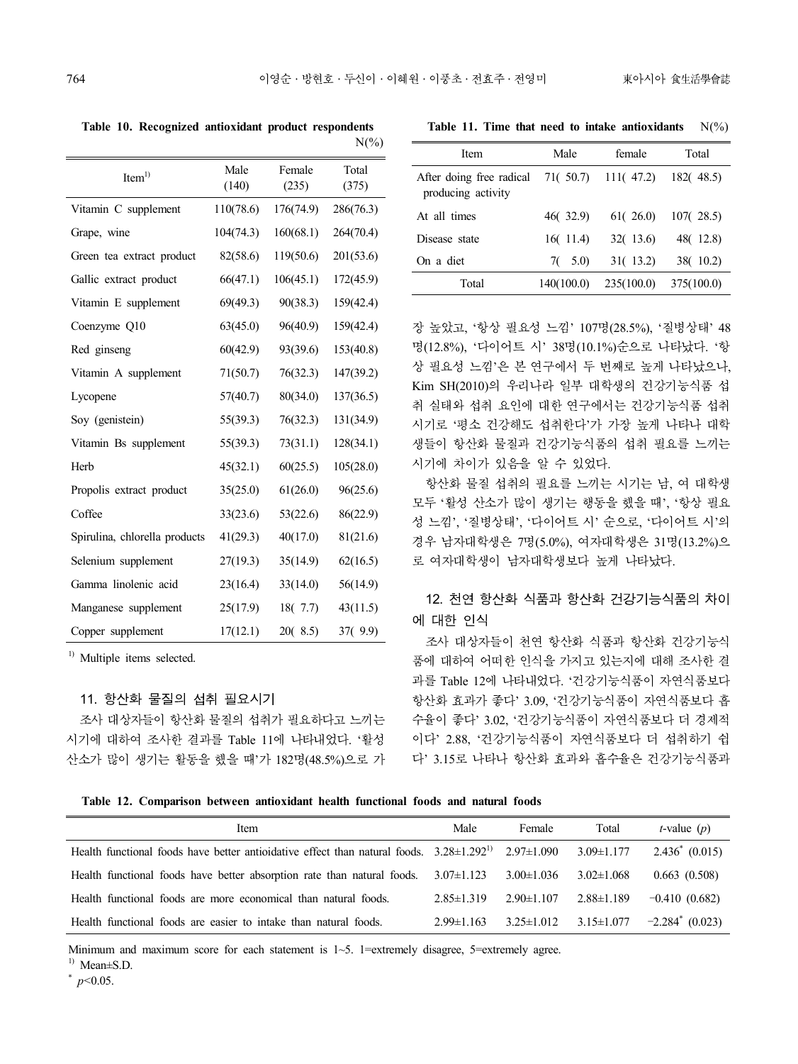**Table 11. Time that need to intake antioxidants** N(%)

|                               |               |                 | $N(\%)$        |
|-------------------------------|---------------|-----------------|----------------|
| Item <sup>1</sup>             | Male<br>(140) | Female<br>(235) | Total<br>(375) |
| Vitamin C supplement          | 110(78.6)     | 176(74.9)       | 286(76.3)      |
| Grape, wine                   | 104(74.3)     | 160(68.1)       | 264(70.4)      |
| Green tea extract product     | 82(58.6)      | 119(50.6)       | 201(53.6)      |
| Gallic extract product        | 66(47.1)      | 106(45.1)       | 172(45.9)      |
| Vitamin E supplement          | 69(49.3)      | 90(38.3)        | 159(42.4)      |
| Coenzyme Q10                  | 63(45.0)      | 96(40.9)        | 159(42.4)      |
| Red ginseng                   | 60(42.9)      | 93(39.6)        | 153(40.8)      |
| Vitamin A supplement          | 71(50.7)      | 76(32.3)        | 147(39.2)      |
| Lycopene                      | 57(40.7)      | 80(34.0)        | 137(36.5)      |
| Soy (genistein)               | 55(39.3)      | 76(32.3)        | 131(34.9)      |
| Vitamin Bs supplement         | 55(39.3)      | 73(31.1)        | 128(34.1)      |
| Herb                          | 45(32.1)      | 60(25.5)        | 105(28.0)      |
| Propolis extract product      | 35(25.0)      | 61(26.0)        | 96(25.6)       |
| Coffee                        | 33(23.6)      | 53(22.6)        | 86(22.9)       |
| Spirulina, chlorella products | 41(29.3)      | 40(17.0)        | 81(21.6)       |
| Selenium supplement           | 27(19.3)      | 35(14.9)        | 62(16.5)       |
| Gamma linolenic acid          | 23(16.4)      | 33(14.0)        | 56(14.9)       |
| Manganese supplement          | 25(17.9)      | 18(7.7)         | 43(11.5)       |
| Copper supplement             | 17(12.1)      | 20(8.5)         | 37(9.9)        |

**Table 10. Recognized antioxidant product respondents** 

<sup>1)</sup> Multiple items selected.

#### 11. 항산화 물질의 섭취 필요시기

조사 대상자들이 항산화 물질의 섭취가 필요하다고 느끼는 시기에 대하여 조사한 결과를 Table 11에 나타내었다. '활성 산소가 많이 생기는 활동을 했을 때'가 182명(48.5%)으로 가

| Item                                                                | Male       | female     | Total      |
|---------------------------------------------------------------------|------------|------------|------------|
| After doing free radical $71(50.7)$ 111(47.2)<br>producing activity |            |            | 182(48.5)  |
| At all times                                                        | 46(32.9)   | 61(26.0)   | 107(28.5)  |
| Disease state                                                       | 16(11.4)   | 32(13.6)   | 48(12.8)   |
| On a diet                                                           | $7(-5.0)$  | 31(13.2)   | 38(10.2)   |
| Total                                                               | 140(100.0) | 235(100.0) | 375(100.0) |

장 높았고, '항상 필요성 느낌' 107명(28.5%), '질병상태' 48 명(12.8%), '다이어트 시' 38명(10.1%)순으로 나타났다. '항 상 필요성 느낌'은 본 연구에서 두 번째로 높게 나타났으나,<br>Kim SH(2010)의 우리나라 일부 대학생의 건강기능식품 섭 취 실태와 섭취 요인에 대한 연구에서는 건강기능식품 섭취 시기로 '평소 건강해도 섭취한다'가 가장 높게 나타나 대학 생들이 항산화 물질과 건강기능식품의 섭취 필요를 느끼는 시기에 차이가 있음을 알 수 있었다.

항산화 물질 섭취의 필요를 느끼는 시기는 남, 여 대학생 모두 '활성 산소가 많이 생기는 행동을 했을 때', '항상 필요 성 느낌', '질병상태', '다이어트 시' 순으로, '다이어트 시'의 경우 남자대학생은 7명(5.0%), 여자대학생은 31명(13.2%)으 로 여자대학생이 남자대학생보다 높게 나타났다.

## 12. 천연 항산화 식품과 항산화 건강기능식품의 차이 에 대한 인식

조사 대상자들이 천연 항산화 식품과 항산화 건강기능식 품에 대하여 어떠한 인식을 가지고 있는지에 대해 조사한 결 과를 Table 12에 나타내었다. '건강기능식품이 자연식품보다 항산화 효과가 좋다' 3.09, '건강기능식품이 자연식품보다 흡 수율이 좋다' 3.02, '건강기능식품이 자연식품보다 더 경제적 이다' 2.88, '건강기능식품이 자연식품보다 더 섭취하기 쉽 다' 3.15로 나타나 항산화 효과와 흡수율은 건강기능식품과

**Table 12. Comparison between antioxidant health functional foods and natural foods**

| Item                                                                                              | Male             | Female           | Total            | <i>t</i> -value $(p)$ |
|---------------------------------------------------------------------------------------------------|------------------|------------------|------------------|-----------------------|
| Health functional foods have better antioidative effect than natural foods. $3.28 \pm 1.292^{11}$ |                  | $2.97 \pm 1.090$ | $3.09 \pm 1.177$ | $2.436^*$ (0.015)     |
| Health functional foods have better absorption rate than natural foods.                           | $3.07 \pm 1.123$ | $3.00 \pm 1.036$ | $3.02 \pm 1.068$ | 0.663(0.508)          |
| Health functional foods are more economical than natural foods.                                   | $2.85 \pm 1.319$ | $2.90 \pm 1.107$ | $2.88 \pm 1.189$ | $-0.410(0.682)$       |
| Health functional foods are easier to intake than natural foods.                                  | $2.99 \pm 1.163$ | $3.25 \pm 1.012$ | $3.15 \pm 1.077$ | $-2.284$ (0.023)      |

Minimum and maximum score for each statement is 1~5. 1=extremely disagree, 5=extremely agree.

 $^{1)}$  Mean $\pm$ S.D.

\* *p<*0.05.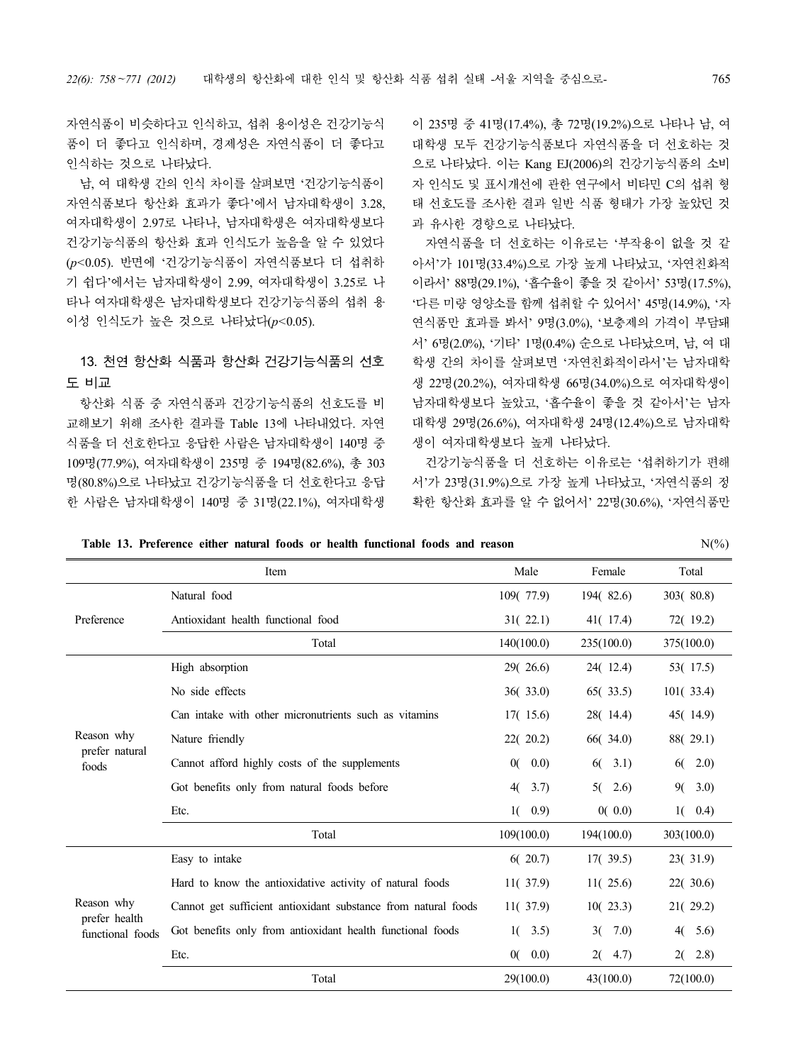자연식품이 비슷하다고 인식하고, 섭취 용이성은 건강기능식 품이 더 좋다고 인식하며, 경제성은 자연식품이 더 좋다고 인식하는 것으로 나타났다.

남, 여 대학생 간의 인식 차이를 살펴보면 '건강기능식품이 자연식품보다 항산화 효과가 좋다'에서 남자대학생이 3.28, 여자대학생이 2.97로 나타나, 남자대학생은 여자대학생보다 건강기능식품의 항산화 효과 인식도가 높음을 알 수 있었다 (*p<*0.05). 반면에 '건강기능식품이 자연식품보다 더 섭취하 기 쉽다'에서는 남자대학생이 2.99, 여자대학생이 3.25로 나 \_\_\_ 이라서' 88명(29.1%), '흡수율이 좋을 것 같아서' 53명(17.5%), 타나 여자대학생은 남자대학생보다 건강기능식품의 섭취 용 이성 인식도가 높은 것으로 나타났다(*p<*0.05).

## 13. 천연 항산화 식품과 항산화 건강기능식품의 선호 도 비교

항산화 식품 중 자연식품과 건강기능식품의 선호도를 비 교해보기 위해 조사한 결과를 Table 13에 나타내었다. 자연 식품을 더 선호한다고 응답한 사람은 남자대학생이 140명 중 109명(77.9%), 여자대학생이 235명 중 194명(82.6%), 총 303 명(80.8%)으로 나타났고 건강기능식품을 더 선호한다고 응답 한 사람은 남자대학생이 140명 중 31명(22.1%), 여자대학생

이 235명 중 41명(17.4%), 총 72명(19.2%)으로 나타나 남, 여 대학생 모두 건강기능식품보다 자연식품을 더 선호하는 것 으로 나타났다. 이는 Kang EJ(2006)의 건강기능식품의 소비 자 인식도 및 표시개선에 관한 연구에서 비타민 C의 섭취 형 태 선호도를 조사한 결과 일반 식품 형태가 가장 높았던 것 과 유사한 경향으로 나타났다.

자연식품을 더 선호하는 이유로는 '부작용이 없을 것 같 아서'가 101명(33.4%)으로 가장 높게 나타났고, '자연친화적 ' 다른 미량 영양소를 함께 섭취할 수 있어서' 45명(14.9%), '자 연식품만 효과를 봐서' 9명(3.0%), '보충제의 가격이 부담돼 서' 6명(2.0%), '기타' 1명(0.4%) 순으로 나타났으며, 남, 여 대 학생 간의 차이를 살펴보면 '자연친화적이라서'는 남자대학 생 22명(20.2%), 여자대학생 66명(34.0%)으로 여자대학생이 남자대학생보다 높았고, '흡수율이 좋을 것 같아서'는 남자 대학생 29명(26.6%), 여자대학생 24명(12.4%)으로 남자대학 생이 여자대학생보다 높게 나타났다.

건강기능식품을 더 선호하는 이유로는 '섭취하기가 편해 서'가 23명(31.9%)으로 가장 높게 나타났고, '자연식품의 정 확한 항산화 효과를 알 수 없어서' 22명(30.6%), '자연식품만

|                                   | Item                                                           | Male             | Female     | Total      |
|-----------------------------------|----------------------------------------------------------------|------------------|------------|------------|
|                                   | Natural food                                                   | 109(77.9)        | 194(82.6)  | 303(80.8)  |
| Preference                        | Antioxidant health functional food                             | 31(22.1)         | 41(17.4)   | 72(19.2)   |
|                                   | Total                                                          | 140(100.0)       | 235(100.0) | 375(100.0) |
|                                   | High absorption                                                | 29(26.6)         | 24(12.4)   | 53(17.5)   |
|                                   | No side effects                                                | 36(33.0)         | 65(33.5)   | 101(33.4)  |
|                                   | Can intake with other micronutrients such as vitamins          | 17(15.6)         | 28(14.4)   | 45(14.9)   |
| Reason why                        | Nature friendly                                                | 22(20.2)         | 66(34.0)   | 88(29.1)   |
| prefer natural<br>foods           | Cannot afford highly costs of the supplements                  | 0(<br>(0.0)      | 3.1)<br>60 | 6(2.0)     |
|                                   | Got benefits only from natural foods before                    | 40<br>3.7)       | 2.6)<br>5( | 9(3.0)     |
|                                   | Etc.                                                           | 0.9)<br>1()      | 0(0.0)     | $1(-0.4)$  |
|                                   | Total                                                          | 109(100.0)       | 194(100.0) | 303(100.0) |
|                                   | Easy to intake                                                 | 6(20.7)          | 17(39.5)   | 23(31.9)   |
|                                   | Hard to know the antioxidative activity of natural foods       | 11(37.9)         | 11(25.6)   | 22(30.6)   |
| Reason why                        | Cannot get sufficient antioxidant substance from natural foods | 11(37.9)         | 10(23.3)   | 21(29.2)   |
| prefer health<br>functional foods | Got benefits only from antioxidant health functional foods     | $1(-3.5)$        | 7.0<br>3(  | 4(5.6)     |
|                                   | Etc.                                                           | 0.0)<br>$\alpha$ | 2(4.7)     | $2(-2.8)$  |
|                                   | Total                                                          | 29(100.0)        | 43(100.0)  | 72(100.0)  |

**Table 13. Preference either natural foods or health functional foods and reason** N(%)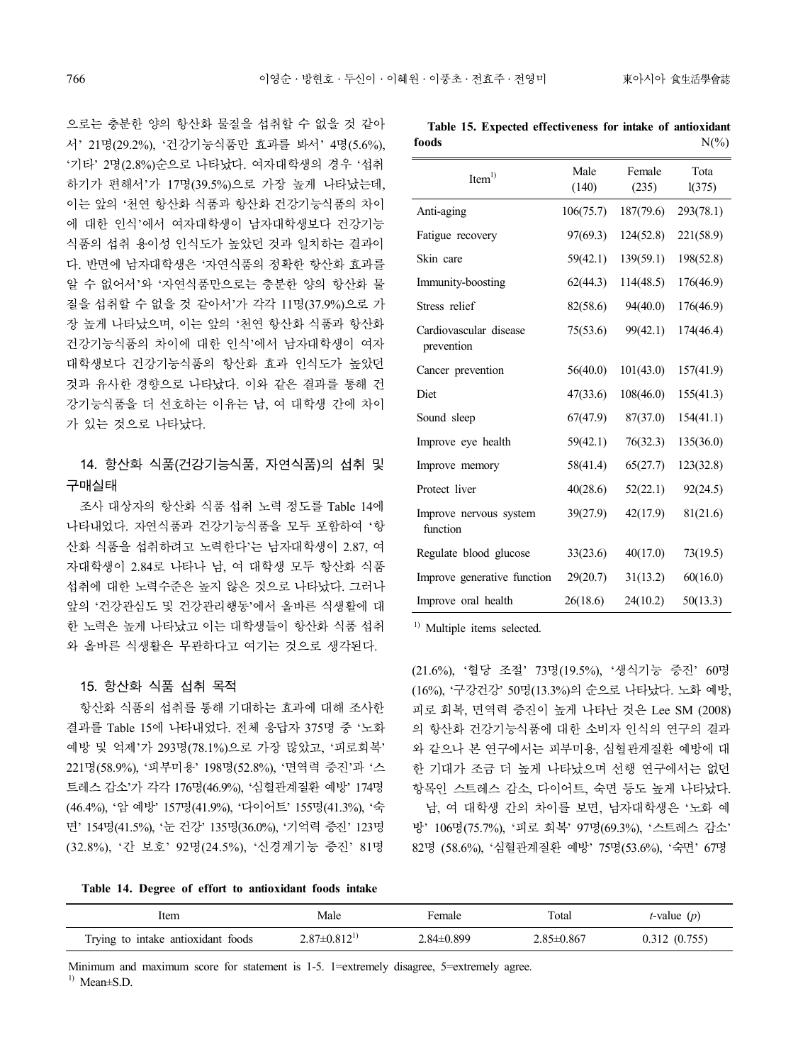으로는 충분한 양의 항산화 물질을 섭취할 수 없을 것 같아 서' 21명(29.2%), '건강기능식품만 효과를 봐서' 4명(5.6%), 16ods<br>'기타' 2명(2.8%)순으로 나타났다. 여자대학생의 경우 '섭취 하기가 편해서'가 17명(39.5%)으로 가장 높게 나타났는데, 이는 앞의 '천연 항산화 식품과 항산화 건강기능식품의 차이 에 대한 인식'에서 여자대학생이 남자대학생보다 건강기능 식품의 섭취 용이성 인식도가 높았던 것과 일치하는 결과이 다. 반면에 남자대학생은 '자연식품의 정확한 항산화 효과를 알 수 없어서'와 '자연식품만으로는 충분한 양의 항산화 물 질을 섭취할 수 없을 것 같아서'가 각각 11명(37.9%)으로 가 장 높게 나타났으며, 이는 앞의 '천연 항산화 식품과 항산화 건강기능식품의 차이에 대한 인식'에서 남자대학생이 여자 대학생보다 건강기능식품의 항산화 효과 인식도가 높았던 것과 유사한 경향으로 나타났다. 이와 같은 결과를 통해 건 강기능식품을 더 선호하는 이유는 남, 여 대학생 간에 차이 가 있는 것으로 나타났다.

## 14. 항산화 식품(건강기능식품, 자연식품)의 섭취 및 구매실태

조사 대상자의 항산화 식품 섭취 노력 정도를 Table 14에 나타내었다. 자연식품과 건강기능식품을 모두 포함하여 '항 산화 식품을 섭취하려고 노력한다'는 남자대학생이 2.87, 여 자대학생이 2.84로 나타나 남, 여 대학생 모두 항산화 식품 섭취에 대한 노력수준은 높지 않은 것으로 나타났다. 그러나 앞의 '건강관심도 및 건강관리행동'에서 올바른 식생활에 대 한 노력은 높게 나타났고 이는 대학생들이 항산화 식품 섭취 와 올바른 식생활은 무관하다고 여기는 것으로 생각된다.

### 15. 항산화 식품 섭취 목적

항산화 식품의 섭취를 통해 기대하는 효과에 대해 조사한 결과를 Table 15에 나타내었다. 전체 응답자 375명 중 '노화 예방 및 억제'가 293명(78.1%)으로 가장 많았고, '피로회복' 221명(58.9%), '피부미용' 198명(52.8%), '면역력 증진'과 '스 트레스 감소'가 각각 176명(46.9%), '심혈관계질환 예방' 174명 (46.4%), '암 예방' 157명(41.9%), '다이어트' 155명(41.3%), '숙 면' 154명(41.5%), '눈 건강' 135명(36.0%), '기억력 증진' 123명 (32.8%), '간 보호' 92명(24.5%), '신경계기능 증진' 81명

**Table 15. Expected effectiveness for intake of antioxidant foods**  $N(\%)$ 

| Item <sup>1</sup>                    | Male<br>(140) | Female<br>(235) | Tota<br>1(375) |
|--------------------------------------|---------------|-----------------|----------------|
| Anti-aging                           | 106(75.7)     | 187(79.6)       | 293(78.1)      |
| Fatigue recovery                     | 97(69.3)      | 124(52.8)       | 221(58.9)      |
| Skin care                            | 59(42.1)      | 139(59.1)       | 198(52.8)      |
| Immunity-boosting                    | 62(44.3)      | 114(48.5)       | 176(46.9)      |
| Stress relief                        | 82(58.6)      | 94(40.0)        | 176(46.9)      |
| Cardiovascular disease<br>prevention | 75(53.6)      | 99(42.1)        | 174(46.4)      |
| Cancer prevention                    | 56(40.0)      | 101(43.0)       | 157(41.9)      |
| Diet                                 | 47(33.6)      | 108(46.0)       | 155(41.3)      |
| Sound sleep                          | 67(47.9)      | 87(37.0)        | 154(41.1)      |
| Improve eye health                   | 59(42.1)      | 76(32.3)        | 135(36.0)      |
| Improve memory                       | 58(41.4)      | 65(27.7)        | 123(32.8)      |
| Protect liver                        | 40(28.6)      | 52(22.1)        | 92(24.5)       |
| Improve nervous system<br>function   | 39(27.9)      | 42(17.9)        | 81(21.6)       |
| Regulate blood glucose               | 33(23.6)      | 40(17.0)        | 73(19.5)       |
| Improve generative function          | 29(20.7)      | 31(13.2)        | 60(16.0)       |
| Improve oral health                  | 26(18.6)      | 24(10.2)        | 50(13.3)       |

<sup>1)</sup> Multiple items selected.

(21.6%), '혈당 조절' 73명(19.5%), '생식기능 증진' 60명 (16%), '구강건강' 50명(13.3%)의 순으로 나타났다. 노화 예방, 피로 회복, 면역력 증진이 높게 나타난 것은 Lee SM (2008) 의 항산화 건강기능식품에 대한 소비자 인식의 연구의 결과 와 같으나 본 연구에서는 피부미용, 심혈관계질환 예방에 대 한 기대가 조금 더 높게 나타났으며 선행 연구에서는 없던 항목인 스트레스 감소, 다이어트, 숙면 등도 높게 나타났다. 남, 여 대학생 간의 차이를 보면, 남자대학생은 '노화 예 방' 106명(75.7%), '피로 회복' 97명(69.3%), '스트레스 감소' 82명 (58.6%), '심혈관계질환 예방' 75명(53.6%), '숙면' 67명

**Table 14. Degree of effort to antioxidant foods intake**

| ltem                               | Male                  | Female         | Total      | <i>t</i> -value $(p)$ |
|------------------------------------|-----------------------|----------------|------------|-----------------------|
| Trying to intake antioxidant foods | $2.87 \pm 0.812^{17}$ | $2.84\pm0.899$ | 2.85±0.867 | 0.312(0.755)          |

Minimum and maximum score for statement is 1-5. 1=extremely disagree, 5=extremely agree.

1) Mean±S.D.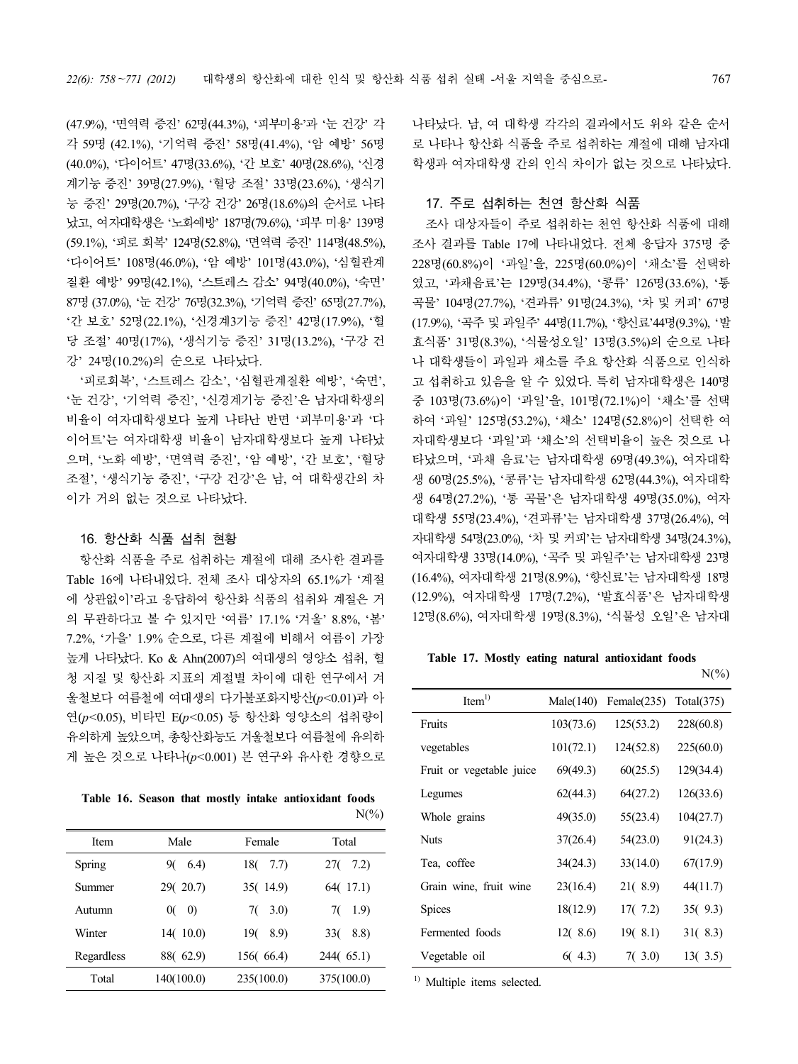(47.9%), '면역력 증진' 62명(44.3%), '피부미용'과 '눈 건강' 각 각 59명 (42.1%), '기억력 증진' 58명(41.4%), '암 예방' 56명 (40.0%), '다이어트' 47명(33.6%), '간 보호' 40명(28.6%), '신경 계기능 증진' 39명(27.9%), '혈당 조절' 33명(23.6%), '생식기 능 증진' 29명(20.7%), '구강 건강' 26명(18.6%)의 순서로 나타 났고, 여자대학생은 '노화예방' 187명(79.6%), '피부 미용' 139명 (59.1%), '피로 회복' 124명(52.8%), '면역력 증진' 114<sup>명</sup>(48.5%), '다이어트' 108명(46.0%), '<sup>암</sup> 예방' 101명(43.0%), '심혈관계 질환 예방' 99명(42.1%), '스트레스 감소' 94명(40.0%), '숙면' <sup>87</sup>명(37.0%), '<sup>눈</sup> 건강' 76명(32.3%), '기억력 증진' 65<sup>명</sup>(27.7%), '<sup>간</sup> 보호' 52명(22.1%), '신경계3기능 증진' 42명(17.9%), '<sup>혈</sup> 당 조절' 40명(17%), '생식기능 증진' 31명(13.2%), '구강 건

강' 24명(10.2%)의 순으로 나타났다.<br>'피로회복', '스트레스 감소', '심혈관계질환 예방', '숙면',<br>'눈 건강', '기억력 증진', '신경계기능 증진'은 남자대학생의 비율이 여자대학생보다 높게 나타난 반면 '피부미용'과 '다 이어트'는 여자대학생 비율이 남자대학생보다 높게 나타났 으며, '노화 예방', '면역력 증진', '암 예방', '간 보호', '혈당 조절', '생식기능 증진', '구강 건강'은 남, 여 대학생간의 차 이가 거의 없는 것으로 나타났다.

#### 16. 항산화 식품 섭취 현황

항산화 식품을 주로 섭취하는 계절에 대해 조사한 결과를 Table 16에 나타내었다. 전체 조사 대상자의 65.1%가 '계절 에 상관없이'라고 응답하여 항산화 식품의 섭취와 계절은 거 의 무관하다고 볼 수 있지만 '여름' 17.1% '겨울' 8.8%, '봄' 7.2%, '가을' 1.9% 순으로, 다른 계절에 비해서 여름이 가장 높게 나타났다. Ko & Ahn(2007)의 여대생의 영양소 섭취, 혈 청 지질 및 항산화 지표의 계절별 차이에 대한 연구에서 겨 울철보다 여름철에 여대생의 다가불포화지방산(*p<*0.01)과 아 연(*p<*0.05), 비타민 E(*p<*0.05) 등 항산화 영양소의 섭취량이 유의하게 높았으며, 총항산화능도 겨울철보다 여름철에 유의하 게 높은 것으로 나타나(*p<*0.001) 본 연구와 유사한 경향으로

|  |  |  | Table 16. Season that mostly intake antioxidant foods |                 |
|--|--|--|-------------------------------------------------------|-----------------|
|  |  |  |                                                       | $N\binom{0}{0}$ |

| Item       | Male                    | Female      | Total       |
|------------|-------------------------|-------------|-------------|
| Spring     | 6.4)<br>90              | 18(<br>7.7) | 7.2)<br>27( |
| Summer     | 29(20.7)                | 35(14.9)    | 64(17.1)    |
| Autumn     | $\left( 0\right)$<br>0( | $7(-3.0)$   | 1.9)<br>70  |
| Winter     | 14(10.0)                | 190<br>8.9  | 8.8)<br>330 |
| Regardless | 88(62.9)                | 156(66.4)   | 244(65.1)   |
| Total      | 140(100.0)              | 235(100.0)  | 375(100.0)  |
|            |                         |             |             |

나타났다. 남, 여 대학생 각각의 결과에서도 위와 같은 순서 로 나타나 항산화 식품을 주로 섭취하는 계절에 대해 남자대 학생과 여자대학생 간의 인식 차이가 없는 것으로 나타났다.

### 17. 주로 섭취하는 천연 항산화 식품

조사 대상자들이 주로 섭취하는 천연 항산화 식품에 대해 조사 결과를 Table 17에 나타내었다. 전체 응답자 375명 중 228명(60.8%)이 '과일'을, 225명(60.0%)이 '채소'를 선택하 였고, '과채음료'는 129명(34.4%), '콩류' 126명(33.6%), '통 곡물' 104명(27.7%), '견과류' 91명(24.3%), '차 및 커피' 67명 (17.9%), '곡주 및 과일주' 44명(11.7%), '향신료'44명(9.3%), '발 효식품' 31명(8.3%), '식물성오일' 13명(3.5%)의 순으로 나타 나 대학생들이 과일과 채소를 주요 항산화 식품으로 인식하 고 섭취하고 있음을 알 수 있었다. 특히 남자대학생은 140명 중 103명(73.6%)이 '과일'을, 101명(72.1%)이 '채소'를 선택 하여 '과일' 125명(53.2%), '채소' 124명(52.8%)이 선택한 여 자대학생보다 '과일'과 '채소'의 선택비율이 높은 것으로 나 타났으며, '과채 음료'는 남자대학생 69명(49.3%), 여자대학 생 60명(25.5%), '콩류'는 남자대학생 62명(44.3%), 여자대학 생 64명(27.2%), '통 곡물'은 남자대학생 49명(35.0%), 여자 대학생 55명(23.4%), '견과류'는 남자대학생 37명(26.4%), 여 자대학생 54명(23.0%), '차 및 커피'는 남자대학생 34명(24.3%), 여자대학생 33명(14.0%), '곡주 및 과일주'는 남자대학생 23명 (16.4%), 여자대학생 21명(8.9%), '향신료'는 남자대학생 18명 (12.9%), 여자대학생 17명(7.2%), '발효식품'은 남자대학생 12명(8.6%), 여자대학생 19명(8.3%), '식물성 오일'은 남자대

### **Table 17. Mostly eating natural antioxidant foods**

| Item <sup>1</sup>        |           | Male(140) Female(235) Total(375) |           |
|--------------------------|-----------|----------------------------------|-----------|
| Fruits                   | 103(73.6) | 125(53.2)                        | 228(60.8) |
| vegetables               | 101(72.1) | 124(52.8)                        | 225(60.0) |
| Fruit or vegetable juice | 69(49.3)  | 60(25.5)                         | 129(34.4) |
| Legumes                  | 62(44.3)  | 64(27.2)                         | 126(33.6) |
| Whole grains             | 49(35.0)  | 55(23.4)                         | 104(27.7) |
| <b>Nuts</b>              | 37(26.4)  | 54(23.0)                         | 91(24.3)  |
| Tea, coffee              | 34(24.3)  | 33(14.0)                         | 67(17.9)  |
| Grain wine, fruit wine   | 23(16.4)  | 21(8.9)                          | 44(11.7)  |
| Spices                   | 18(12.9)  | 17(7.2)                          | 35(9.3)   |
| Fermented foods          | 12(8.6)   | 19(8.1)                          | 31(8.3)   |
| Vegetable oil            | 6(4.3)    | 7(3.0)                           | 13(3.5)   |

<sup>1)</sup> Multiple items selected.

 $N(\%)$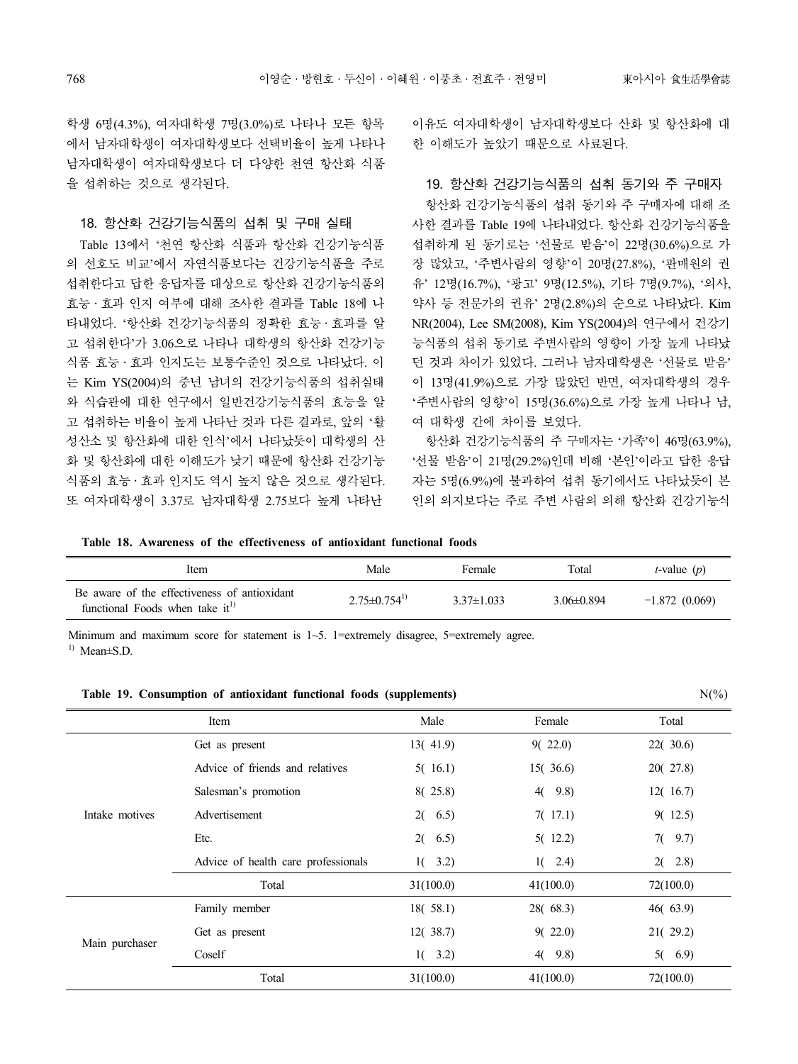학생 6명(4.3%), 여자대학생 7명(3.0%)로 나타나 모든 항목 에서 남자대학생이 여자대학생보다 선택비율이 높게 나타나 남자대학생이 여자대학생보다 더 다양한 천연 항산화 식품 을 섭취하는 것으로 생각된다.

#### 18. 항산화 건강기능식품의 섭취 및 구매 실태

Table 13에서 '천연 항산화 식품과 항산화 건강기능식품 의 선호도 비교'에서 자연식품보다는 건강기능식품을 주로 섭취한다고 답한 응답자를 대상으로 항산화 건강기능식품의 효능․효과 인지 여부에 대해 조사한 결과를 Table 18에 나 타내었다. '항산화 건강기능식품의 정확한 효능․효과를 알 고 섭취한다'가 3.06으로 나타나 대학생의 항산화 건강기능 식품 효능․효과 인지도는 보통수준인 것으로 나타났다. 이 는 Kim YS(2004)의 중년 남녀의 건강기능식품의 섭취실태 와 식습관에 대한 연구에서 일반건강기능식품의 효능을 알 고 섭취하는 비율이 높게 나타난 것과 다른 결과로, 앞의 '활 성산소 및 항산화에 대한 인식'에서 나타났듯이 대학생의 산 · 항산화 건강기능식품의 주 구매자는 '가족'이 46명(63.9%), 화 및 항산화에 대한 이해도가 낮기 때문에 항산화 건강기능 식품의 효능․효과 인지도 역시 높지 않은 것으로 생각된다. 또 여자대학생이 3.37로 남자대학생 2.75보다 높게 나타난

이유도 여자대학생이 남자대학생보다 산화 및 항산화에 대 한 이해도가 높았기 때문으로 사료된다.

#### 19. 항산화 건강기능식품의 섭취 동기와 주 구매자

항산화 건강기능식품의 섭취 동기와 주 구매자에 대해 조 사한 결과를 Table 19에 나타내었다. 항산화 건강기능식품을 섭취하게 된 동기로는 '선물로 받음'이 22명(30.6%)으로 가 장 많았고, '주변사람의 영향'이 20명(27.8%), '판매원의 권 유' 12명(16.7%), '광고' 9명(12.5%), 기타 7명(9.7%), '의사, 약사 등 전문가의 권유' 2명(2.8%)의 순으로 나타났다. Kim NR(2004), Lee SM(2008), Kim YS(2004)의 연구에서 건강기 능식품의 섭취 동기로 주변사람의 영향이 가장 높게 나타났 던 것과 차이가 있었다. 그러나 남자대학생은 '선물로 받음' 이 13명(41.9%)으로 가장 많았던 반면, 여자대학생의 경우 '주변사람의 영향'이 15명(36.6%)으로 가장 높게 나타나 남, 여 대학생 간에 차이를 보였다.

'선물 받음'이 21명(29.2%)인데 비해 '본인'이라고 답한 응답 자는 5명(6.9%)에 불과하여 섭취 동기에서도 나타났듯이 본 인의 의지보다는 주로 주변 사람의 의해 항산화 건강기능식

**Table 18. Awareness of the effectiveness of antioxidant functional foods**

| ltem                                                                                  | Male                | Female         | Total          | <i>t</i> -value $(p)$ |
|---------------------------------------------------------------------------------------|---------------------|----------------|----------------|-----------------------|
| Be aware of the effectiveness of antioxidant<br>functional Foods when take $it^{(1)}$ | $2.75\pm 0.754^{1}$ | $3.37\pm1.033$ | $3.06\pm0.894$ | $-1.872(0.069)$       |

Minimum and maximum score for statement is 1~5. 1=extremely disagree, 5=extremely agree.  $^{1)}$  Mean $\pm$ S.D.

**Table 19. Consumption of antioxidant functional foods (supplements)** N(%)

|                | Item                                | Male      | Female    | Total     |
|----------------|-------------------------------------|-----------|-----------|-----------|
|                | Get as present                      | 13(41.9)  | 9(22.0)   | 22(30.6)  |
|                | Advice of friends and relatives     | 5(16.1)   | 15(36.6)  | 20(27.8)  |
|                | Salesman's promotion                | 8(25.8)   | 4(9.8)    | 12(16.7)  |
| Intake motives | Advertisement                       | $2(-6.5)$ | 7(17.1)   | 9(12.5)   |
|                | Etc.                                | 2(6.5)    | 5(12.2)   | $7(-9.7)$ |
|                | Advice of health care professionals | $1(-3.2)$ | $1(-2.4)$ | $2(-2.8)$ |
|                | Total                               | 31(100.0) | 41(100.0) | 72(100.0) |
|                | Family member                       | 18(58.1)  | 28(68.3)  | 46(63.9)  |
| Main purchaser | Get as present                      | 12(38.7)  | 9(22.0)   | 21(29.2)  |
|                | Coself                              | $1(-3.2)$ | 4(9.8)    | 5(6.9)    |
|                | Total                               | 31(100.0) | 41(100.0) | 72(100.0) |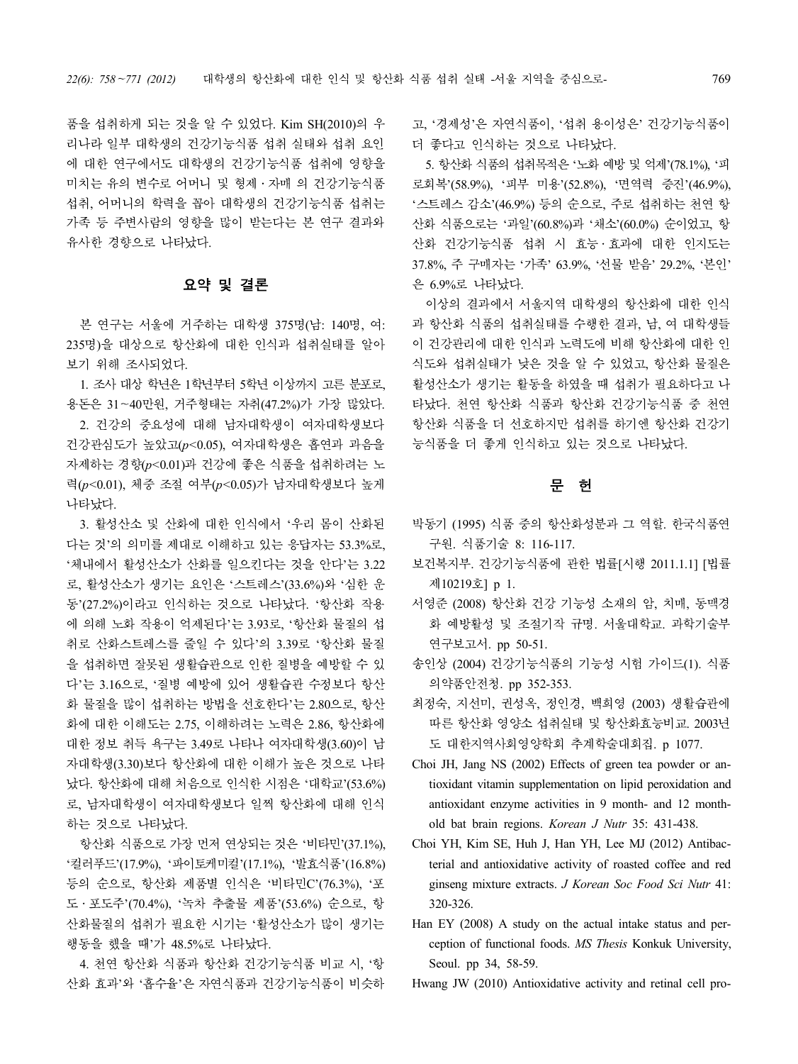품을 섭취하게 되는 것을 알 수 있었다. Kim SH(2010)의 우 리나라 일부 대학생의 건강기능식품 섭취 실태와 섭취 요인 \_\_\_ 더 좋다고 인식하는 것으로 나타났다. 에 대한 연구에서도 대학생의 건강기능식품 섭취에 영향을 미치는 유의 변수로 어머니 및 형제 · 자매 의 건강기능식품 로회복'(58.9%), '피부 미용'(52.8%), '면역력 증진'(46.9%), 섭취, 어머니의 학력을 꼽아 대학생의 건강기능식품 섭취는 가족 등 주변사람의 영향을 많이 받는다는 본 연구 결과와 유사한 경향으로 나타났다.

## 요약 및 결론

본 연구는 서울에 거주하는 대학생 375명(남: 140명, 여: 235명)을 대상으로 항산화에 대한 인식과 섭취실태를 알아 보기 위해 조사되었다.

1. 조사 대상 학년은 1학년부터 5학년 이상까지 고른 분포로, 용돈은 31~40만원, 거주형태는 자취(47.2%)가 가장 많았다.

2. 건강의 중요성에 대해 남자대학생이 여자대학생보다 건강관심도가 높았고(*p<*0.05), 여자대학생은 흡연과 과음을 자제하는 경향(*p<*0.01)과 건강에 좋은 식품을 섭취하려는 노 력(*p<*0.01), 체중 조절 여부(*p<*0.05)가 남자대학생보다 높게 나타났다.

3. 활성산소 및 산화에 대한 인식에서 '우리 몸이 산화된 다는 것'의 의미를 제대로 이해하고 있는 응답자는 53.3%로,<br>'체내에서 활성산소가 산화를 일으킨다는 것을 안다'는 3.22 로, 활성산소가 생기는 요인은 '스트레스'(33.6%)와 '심한 운 동'(27.2%)이라고 인식하는 것으로 나타났다. '항산화 작용 에 의해 노화 작용이 억제된다'는 3.93로, '항산화 물질의 섭 취로 산화스트레스를 줄일 수 있다'의 3.39로 '항산화 물질 을 섭취하면 잘못된 생활습관으로 인한 질병을 예방할 수 있 다'는 3.16으로, '질병 예방에 있어 생활습관 수정보다 항산 화 물질을 많이 섭취하는 방법을 선호한다'는 2.80으로, 항산 화에 대한 이해도는 2.75, 이해하려는 노력은 2.86, 항산화에 대한 정보 취득 욕구는 3.49로 나타나 여자대학생(3.60)이 남 자대학생(3.30)보다 항산화에 대한 이해가 높은 것으로 나타 났다. 항산화에 대해 처음으로 인식한 시점은 '대학교'(53.6%) 로, 남자대학생이 여자대학생보다 일찍 항산화에 대해 인식 하는 것으로 나타났다.

항산화 식품으로 가장 먼저 연상되는 것은 '비타민'(37.1%), '컬러푸드'(17.9%), '파이토케미컬'(17.1%), '발효식품'(16.8%) 등의 순으로, 항산화 제품별 인식은 '비타민C'(76.3%), '포 도․포도주'(70.4%), '녹차 추출물 제품'(53.6%) 순으로, 항 산화물질의 섭취가 필요한 시기는 '활성산소가 많이 생기는 행동을 했을 때'가 48.5%로 나타났다.

4. 천연 항산화 식품과 항산화 건강기능식품 비교 시, '항 산화 효과'와 '흡수율'은 자연식품과 건강기능식품이 비슷하 고, '경제성'은 자연식품이, '섭취 용이성은' 건강기능식품이

5. 항산화 식품의 섭취목적은 '노화 예방 및 억제'(78.1%), '피 '스트레스 감소'(46.9%) 등의 순으로, 주로 섭취하는 천연 항 산화 식품으로는 '과일'(60.8%)과 '채소'(60.0%) 순이었고, 항 산화 건강기능식품 섭취 시 효능․효과에 대한 인지도는 37.8%, 주 구매자는 '가족' 63.9%, '선물 받음' 29.2%, '본인' 은 6.9%로 나타났다.

이상의 결과에서 서울지역 대학생의 항산화에 대한 인식 과 항산화 식품의 섭취실태를 수행한 결과, 남, 여 대학생들 이 건강관리에 대한 인식과 노력도에 비해 항산화에 대한 인 식도와 섭취실태가 낮은 것을 알 수 있었고, 항산화 물질은 활성산소가 생기는 활동을 하였을 때 섭취가 필요하다고 나 타났다. 천연 항산화 식품과 항산화 건강기능식품 중 천연 항산화 식품을 더 선호하지만 섭취를 하기엔 항산화 건강기 능식품을 더 좋게 인식하고 있는 것으로 나타났다.

## 문 헌

- 박동기 (1995) 식품 중의 항산화성분과 그 역할. 한국식품연 구원. 식품기술 8: 116-117.
- 보건복지부. 건강기능식품에 관한 법률[시행 2011.1.1] [법률 제10219호] p 1.
- 서영준 (2008) 항산화 건강 기능성 소재의 암, 치매, 동맥경 화 예방활성 및 조절기작 규명. 서울대학교. 과학기술부 연구보고서. pp 50-51.
- 송인상 (2004) 건강기능식품의 기능성 시험 가이드(1). 식품 의약품안전청. pp 352-353.
- 최정숙, 지선미, 권성옥, 정인경, 백희영 (2003) 생활습관에 따른 항산화 영양소 섭취실태 및 항산화효능비교. 2003년 도 대한지역사회영양학회 추계학술대회집. p 1077.
- Choi JH, Jang NS (2002) Effects of green tea powder or antioxidant vitamin supplementation on lipid peroxidation and antioxidant enzyme activities in 9 month- and 12 monthold bat brain regions. *Korean J Nutr* 35: 431-438.
- Choi YH, Kim SE, Huh J, Han YH, Lee MJ (2012) Antibacterial and antioxidative activity of roasted coffee and red ginseng mixture extracts. *J Korean Soc Food Sci Nutr* 41: 320-326.
- Han EY (2008) A study on the actual intake status and per ception of functional foods. *MS Thesis* Konkuk University, Seoul. pp 34, 58-59.
- Hwang JW (2010) Antioxidative activity and retinal cell pro-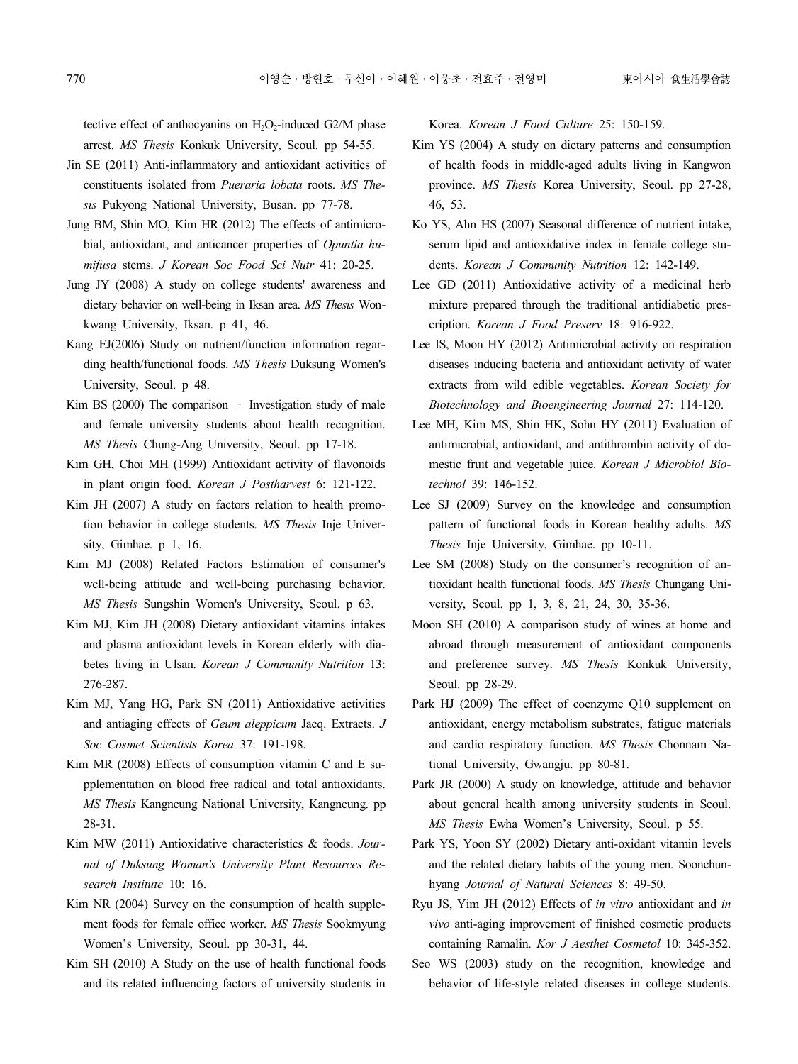tective effect of anthocyanins on  $H_2O_2$ -induced G2/M phase arrest. *MS Thesis* Konkuk University, Seoul. pp 54-55.

- Jin SE (2011) Anti-inflammatory and antioxidant activities of constituents isolated from *Pueraria lobata* roots. *MS The sis* Pukyong National University, Busan. pp 77-78.
- Jung BM, Shin MO, Kim HR (2012) The effects of antimicro bial, antioxidant, and anticancer properties of *Opuntia hu mifusa* stems. *J Korean Soc Food Sci Nutr* 41: 20-25.
- Jung JY (2008) A study on college students' awareness and dietary behavior on well-being in Iksan area. *MS Thesis* Won kwang University, Iksan. p 41, 46.
- Kang EJ(2006) Study on nutrient/function information regar ding health/functional foods. *MS Thesis* Duksung Women's University, Seoul. p 48.
- Kim BS (2000) The comparison Investigation study of male and female university students about health recognition. *MS Thesis* Chung-Ang University, Seoul. pp 17-18.
- Kim GH, Choi MH (1999) Antioxidant activity of flavonoids in plant origin food. *Korean J Postharvest* 6: 121-122.
- Kim JH (2007) A study on factors relation to health promotion behavior in college students. *MS Thesis* Inje Univer sity, Gimhae. p 1, 16.
- Kim MJ (2008) Related Factors Estimation of consumer's well-being attitude and well-being purchasing behavior. *MS Thesis* Sungshin Women's University, Seoul. p 63.
- Kim MJ, Kim JH (2008) Dietary antioxidant vitamins intakes and plasma antioxidant levels in Korean elderly with dia betes living in Ulsan. *Korean J Community Nutrition* 13: 276-287.
- Kim MJ, Yang HG, Park SN (2011) Antioxidative activities and antiaging effects of *Geum aleppicum* Jacq. Extracts. *J Soc Cosmet Scientists Korea* 37: 191-198.
- Kim MR (2008) Effects of consumption vitamin C and E su pplementation on blood free radical and total antioxidants. *MS Thesis* Kangneung National University, Kangneung. pp 28-31.
- Kim MW (2011) Antioxidative characteristics & foods. *Jour nal of Duksung Woman's University Plant Resources Re search Institute* 10: 16.
- Kim NR (2004) Survey on the consumption of health supple ment foods for female office worker. *MS Thesis* Sookmyung Women's University, Seoul. pp 30-31, 44.
- Kim SH (2010) A Study on the use of health functional foods and its related influencing factors of university students in

Korea. *Korean J Food Culture* 25: 150-159.

- Kim YS (2004) A study on dietary patterns and consumption of health foods in middle-aged adults living in Kangwon province. *MS Thesis* Korea University, Seoul. pp 27-28, 46, 53.
- Ko YS, Ahn HS (2007) Seasonal difference of nutrient intake, serum lipid and antioxidative index in female college stu dents. *Korean J Community Nutrition* 12: 142-149.
- Lee GD (2011) Antioxidative activity of a medicinal herb mixture prepared through the traditional antidiabetic pres cription. *Korean J Food Preserv* 18: 916-922.
- Lee IS, Moon HY (2012) Antimicrobial activity on respiration diseases inducing bacteria and antioxidant activity of water extracts from wild edible vegetables. *Korean Society for Biotechnology and Bioengineering Journal* 27: 114-120.
- Lee MH, Kim MS, Shin HK, Sohn HY (2011) Evaluation of antimicrobial, antioxidant, and antithrombin activity of do mestic fruit and vegetable juice. *Korean J Microbiol Biotechnol* 39: 146-152.
- Lee SJ (2009) Survey on the knowledge and consumption pattern of functional foods in Korean healthy adults. *MS Thesis* Inje University, Gimhae. pp 10-11.
- Lee SM (2008) Study on the consumer's recognition of antioxidant health functional foods. *MS Thesis* Chungang Uni versity, Seoul. pp 1, 3, 8, 21, 24, 30, 35-36.
- Moon SH (2010) A comparison study of wines at home and abroad through measurement of antioxidant components and preference survey. *MS Thesis* Konkuk University, Seoul. pp 28-29.
- Park HJ (2009) The effect of coenzyme Q10 supplement on antioxidant, energy metabolism substrates, fatigue materials and cardio respiratory function. *MS Thesis* Chonnam National University, Gwangju. pp 80-81.
- Park JR (2000) A study on knowledge, attitude and behavior about general health among university students in Seoul. *MS Thesis* Ewha Women's University, Seoul. p 55.
- Park YS, Yoon SY (2002) Dietary anti-oxidant vitamin levels and the related dietary habits of the young men. Soonchun hyang *Journal of Natural Sciences* 8: 49-50.
- Ryu JS, Yim JH (2012) Effects of *in vitro* antioxidant and *in vivo* anti-aging improvement of finished cosmetic products containing Ramalin. *Kor J Aesthet Cosmetol* 10: 345-352.
- Seo WS (2003) study on the recognition, knowledge and behavior of life-style related diseases in college students.